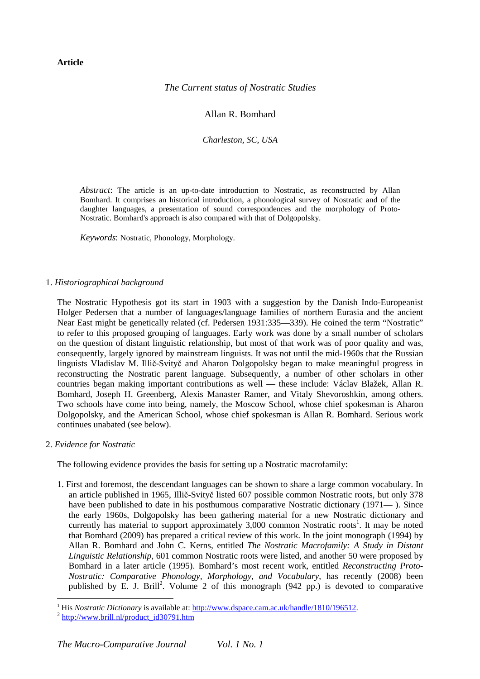**Article** 

# *The Current status of Nostratic Studies*

## Allan R. Bomhard

*Charleston, SC, USA* 

*Abstract*: The article is an up-to-date introduction to Nostratic, as reconstructed by Allan Bomhard. It comprises an historical introduction, a phonological survey of Nostratic and of the daughter languages, a presentation of sound correspondences and the morphology of Proto-Nostratic. Bomhard's approach is also compared with that of Dolgopolsky.

*Keywords*: Nostratic, Phonology, Morphology.

#### 1. *Historiographical background*

The Nostratic Hypothesis got its start in 1903 with a suggestion by the Danish Indo-Europeanist Holger Pedersen that a number of languages/language families of northern Eurasia and the ancient Near East might be genetically related (cf. Pedersen 1931:335—339). He coined the term "Nostratic" to refer to this proposed grouping of languages. Early work was done by a small number of scholars on the question of distant linguistic relationship, but most of that work was of poor quality and was, consequently, largely ignored by mainstream linguists. It was not until the mid-1960s that the Russian linguists Vladislav M. Illič-Svityč and Aharon Dolgopolsky began to make meaningful progress in reconstructing the Nostratic parent language. Subsequently, a number of other scholars in other countries began making important contributions as well — these include: Václav Blažek, Allan R. Bomhard, Joseph H. Greenberg, Alexis Manaster Ramer, and Vitaly Shevoroshkin, among others. Two schools have come into being, namely, the Moscow School, whose chief spokesman is Aharon Dolgopolsky, and the American School, whose chief spokesman is Allan R. Bomhard. Serious work continues unabated (see below).

2. *Evidence for Nostratic*

 $\overline{a}$ 

The following evidence provides the basis for setting up a Nostratic macrofamily:

1. First and foremost, the descendant languages can be shown to share a large common vocabulary. In an article published in 1965, Illič-Svityč listed 607 possible common Nostratic roots, but only 378 have been published to date in his posthumous comparative Nostratic dictionary (1971— ). Since the early 1960s, Dolgopolsky has been gathering material for a new Nostratic dictionary and currently has material to support approximately 3,000 common Nostratic roots<sup>1</sup>. It may be noted that Bomhard (2009) has prepared a critical review of this work. In the joint monograph (1994) by Allan R. Bomhard and John C. Kerns, entitled *The Nostratic Macrofamily: A Study in Distant Linguistic Relationship*, 601 common Nostratic roots were listed, and another 50 were proposed by Bomhard in a later article (1995). Bomhard's most recent work, entitled *Reconstructing Proto-Nostratic: Comparative Phonology, Morphology, and Vocabulary*, has recently (2008) been published by E. J. Brill<sup>2</sup>. Volume 2 of this monograph (942 pp.) is devoted to comparative

<sup>1</sup> His *Nostratic Dictionary* is available at: http://www.dspace.cam.ac.uk/handle/1810/196512.

<sup>&</sup>lt;sup>2</sup> http://www.brill.nl/product\_id30791.htm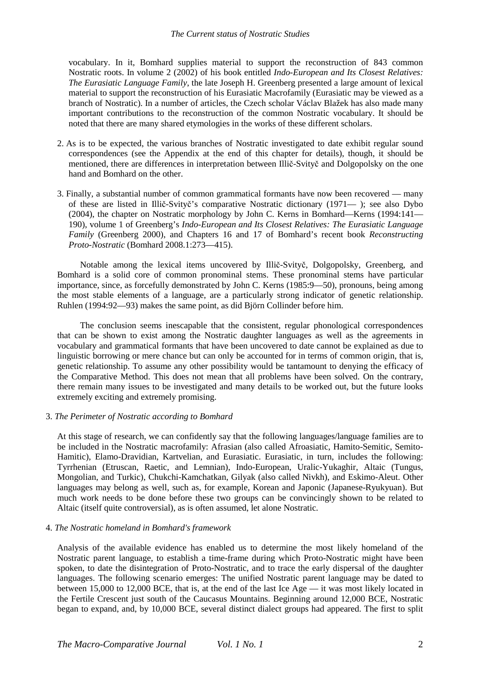vocabulary. In it, Bomhard supplies material to support the reconstruction of 843 common Nostratic roots. In volume 2 (2002) of his book entitled *Indo-European and Its Closest Relatives: The Eurasiatic Language Family*, the late Joseph H. Greenberg presented a large amount of lexical material to support the reconstruction of his Eurasiatic Macrofamily (Eurasiatic may be viewed as a branch of Nostratic). In a number of articles, the Czech scholar Václav Blažek has also made many important contributions to the reconstruction of the common Nostratic vocabulary. It should be noted that there are many shared etymologies in the works of these different scholars.

- 2. As is to be expected, the various branches of Nostratic investigated to date exhibit regular sound correspondences (see the Appendix at the end of this chapter for details), though, it should be mentioned, there are differences in interpretation between Illič-Svityč and Dolgopolsky on the one hand and Bomhard on the other.
- 3. Finally, a substantial number of common grammatical formants have now been recovered many of these are listed in Illič-Svityč's comparative Nostratic dictionary (1971— ); see also Dybo (2004), the chapter on Nostratic morphology by John C. Kerns in Bomhard—Kerns (1994:141— 190), volume 1 of Greenberg's *Indo-European and Its Closest Relatives: The Eurasiatic Language Family* (Greenberg 2000), and Chapters 16 and 17 of Bomhard's recent book *Reconstructing Proto-Nostratic* (Bomhard 2008.1:273—415).

Notable among the lexical items uncovered by Illič-Svityč, Dolgopolsky, Greenberg, and Bomhard is a solid core of common pronominal stems. These pronominal stems have particular importance, since, as forcefully demonstrated by John C. Kerns (1985:9—50), pronouns, being among the most stable elements of a language, are a particularly strong indicator of genetic relationship. Ruhlen (1994:92—93) makes the same point, as did Björn Collinder before him.

The conclusion seems inescapable that the consistent, regular phonological correspondences that can be shown to exist among the Nostratic daughter languages as well as the agreements in vocabulary and grammatical formants that have been uncovered to date cannot be explained as due to linguistic borrowing or mere chance but can only be accounted for in terms of common origin, that is, genetic relationship. To assume any other possibility would be tantamount to denying the efficacy of the Comparative Method. This does not mean that all problems have been solved. On the contrary, there remain many issues to be investigated and many details to be worked out, but the future looks extremely exciting and extremely promising.

## 3. *The Perimeter of Nostratic according to Bomhard*

At this stage of research, we can confidently say that the following languages/language families are to be included in the Nostratic macrofamily: Afrasian (also called Afroasiatic, Hamito-Semitic, Semito-Hamitic), Elamo-Dravidian, Kartvelian, and Eurasiatic. Eurasiatic, in turn, includes the following: Tyrrhenian (Etruscan, Raetic, and Lemnian), Indo-European, Uralic-Yukaghir, Altaic (Tungus, Mongolian, and Turkic), Chukchi-Kamchatkan, Gilyak (also called Nivkh), and Eskimo-Aleut. Other languages may belong as well, such as, for example, Korean and Japonic (Japanese-Ryukyuan). But much work needs to be done before these two groups can be convincingly shown to be related to Altaic (itself quite controversial), as is often assumed, let alone Nostratic.

## 4. *The Nostratic homeland in Bomhard's framework*

Analysis of the available evidence has enabled us to determine the most likely homeland of the Nostratic parent language, to establish a time-frame during which Proto-Nostratic might have been spoken, to date the disintegration of Proto-Nostratic, and to trace the early dispersal of the daughter languages. The following scenario emerges: The unified Nostratic parent language may be dated to between 15,000 to 12,000 BCE, that is, at the end of the last Ice Age — it was most likely located in the Fertile Crescent just south of the Caucasus Mountains. Beginning around 12,000 BCE, Nostratic began to expand, and, by 10,000 BCE, several distinct dialect groups had appeared. The first to split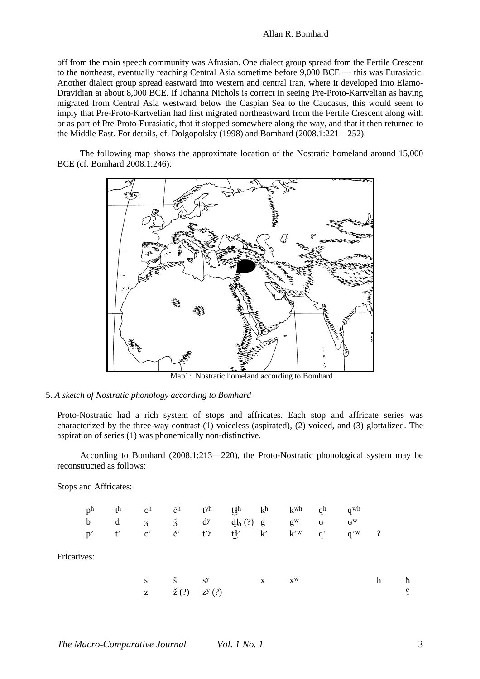off from the main speech community was Afrasian. One dialect group spread from the Fertile Crescent to the northeast, eventually reaching Central Asia sometime before 9,000 BCE — this was Eurasiatic. Another dialect group spread eastward into western and central Iran, where it developed into Elamo-Dravidian at about 8,000 BCE. If Johanna Nichols is correct in seeing Pre-Proto-Kartvelian as having migrated from Central Asia westward below the Caspian Sea to the Caucasus, this would seem to imply that Pre-Proto-Kartvelian had first migrated northeastward from the Fertile Crescent along with or as part of Pre-Proto-Eurasiatic, that it stopped somewhere along the way, and that it then returned to the Middle East. For details, cf. Dolgopolsky (1998) and Bomhard (2008.1:221—252).

The following map shows the approximate location of the Nostratic homeland around 15,000 BCE (cf. Bomhard 2008.1:246):



Map1: Nostratic homeland according to Bomhard

#### 5. *A sketch of Nostratic phonology according to Bomhard*

Proto-Nostratic had a rich system of stops and affricates. Each stop and affricate series was characterized by the three-way contrast (1) voiceless (aspirated), (2) voiced, and (3) glottalized. The aspiration of series (1) was phonemically non-distinctive.

According to Bomhard (2008.1:213—220), the Proto-Nostratic phonological system may be reconstructed as follows:

Stops and Affricates:

|             | p <sup>h</sup> | t <sup>h</sup> | $\mathbf{c}^{\mathbf{h}}$ | čh                | tyh            | t <sup>th</sup>             | k <sup>h</sup> | $k^{wh}$       | q <sup>h</sup> | qwh            |              |   |
|-------------|----------------|----------------|---------------------------|-------------------|----------------|-----------------------------|----------------|----------------|----------------|----------------|--------------|---|
|             | $\mathbf b$    | d              | 3                         | $\check{3}$       | $\rm d^y$      | $\mathrm{d}\mathbf{k}$ (?)  | g              | $g^w$          | G              | $G^W$          |              |   |
|             | $p^{\prime}$   | $t^{\prime}$   | $\mathbf{c}^{\prime}$     | $\check{\rm c}$ ' | t'             | $\mathfrak{t}\mathfrak{t}'$ | k              | $k^{\prime w}$ | $q^{\prime}$   | $q^{\prime w}$ | $\mathbf{r}$ |   |
| Fricatives: |                |                |                           |                   |                |                             |                |                |                |                |              |   |
|             |                |                | S                         | š                 | S <sub>Y</sub> |                             | X              | $X^W$          |                |                | h            | ħ |
|             |                |                | Z                         | $\check{z}(?)$    | $Z^{y}$ $(?)$  |                             |                |                |                |                |              | ና |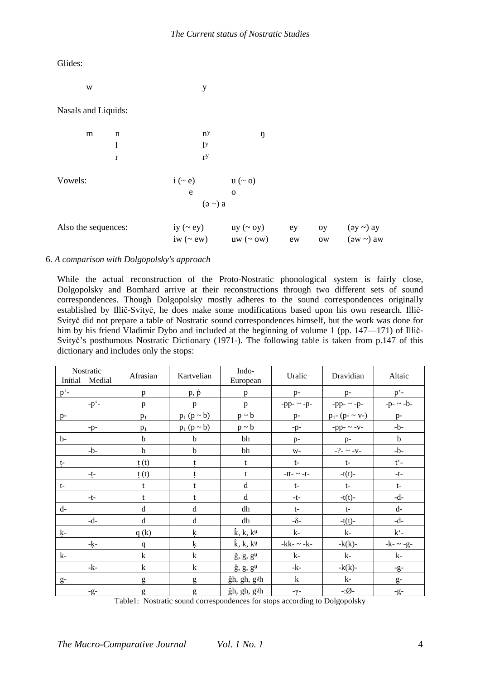| W                   |              | y                       |                                     |               |           |                |
|---------------------|--------------|-------------------------|-------------------------------------|---------------|-----------|----------------|
| Nasals and Liquids: |              |                         |                                     |               |           |                |
| m                   | n            | n <sub>y</sub>          | ŋ                                   |               |           |                |
|                     | 1            | 1 <sup>y</sup>          |                                     |               |           |                |
|                     | $\mathbf{r}$ | ry                      |                                     |               |           |                |
| Vowels:             |              | $i(\sim e)$ $u(\sim o)$ |                                     |               |           |                |
|                     |              | $\rm e$                 | $\overline{\mathbf{0}}$             |               |           |                |
|                     |              | $(a \sim a)$            |                                     |               |           |                |
| Also the sequences: |              |                         | iy (~ ey) $uy \left(\sim cy\right)$ | ey            | oy        | $(ay \sim)$ ay |
|                     |              |                         | iw $(\sim$ ew) uw $(\sim$ ow)       | $\mathrm{ew}$ | $\rm{OW}$ | $(3w \sim)$ aw |

## 6. *A comparison with Dolgopolsky's approach*

While the actual reconstruction of the Proto-Nostratic phonological system is fairly close, Dolgopolsky and Bomhard arrive at their reconstructions through two different sets of sound correspondences. Though Dolgopolsky mostly adheres to the sound correspondences originally established by Illič-Svityč, he does make some modifications based upon his own research. Illič-Svityč did not prepare a table of Nostratic sound correspondences himself, but the work was done for him by his friend Vladimir Dybo and included at the beginning of volume 1 (pp. 147—171) of Illič-Svityč's posthumous Nostratic Dictionary (1971-). The following table is taken from p.147 of this dictionary and includes only the stops:

| Nostratic<br>Initial<br>Medial | Afrasian                                                                                                                                                                                                                                                                                                                                                                                                                                     | Kartvelian                                                                                                                                                                                                                                                                                                                                                                                                                     | Indo-<br>European           | Uralic          | Dravidian           | Altaic         |
|--------------------------------|----------------------------------------------------------------------------------------------------------------------------------------------------------------------------------------------------------------------------------------------------------------------------------------------------------------------------------------------------------------------------------------------------------------------------------------------|--------------------------------------------------------------------------------------------------------------------------------------------------------------------------------------------------------------------------------------------------------------------------------------------------------------------------------------------------------------------------------------------------------------------------------|-----------------------------|-----------------|---------------------|----------------|
| $p^{\prime}$ -                 | p                                                                                                                                                                                                                                                                                                                                                                                                                                            | $p, \dot{p}$                                                                                                                                                                                                                                                                                                                                                                                                                   | $\mathbf{p}$                | $p-$            | $D -$               | $p^{\prime}$ - |
| $-p^{\prime}$ -                | p                                                                                                                                                                                                                                                                                                                                                                                                                                            | p                                                                                                                                                                                                                                                                                                                                                                                                                              | $\, {\bf p}$                | $-pp-$ - $-p-$  | $-pp-$ - $-p-$      | $-p - - b$     |
| $p-$                           | $p_1$                                                                                                                                                                                                                                                                                                                                                                                                                                        | $p_1 (p \sim b)$                                                                                                                                                                                                                                                                                                                                                                                                               | $p \sim b$                  | p-              | $p_{1}$ - (p- ~ v-) | $p-$           |
| $-p-$                          | $p_1$                                                                                                                                                                                                                                                                                                                                                                                                                                        | $p_1 (p \sim b)$                                                                                                                                                                                                                                                                                                                                                                                                               | $p \sim b$                  | $-p-$           | $-pp-$ ~ -v-        | $-b-$          |
| $b-$                           | $\mathbf b$                                                                                                                                                                                                                                                                                                                                                                                                                                  | $\mathbf b$                                                                                                                                                                                                                                                                                                                                                                                                                    | bh                          | $p-$            | $p-$                | $\mathbf b$    |
| $-b-$                          | $\mathbf b$                                                                                                                                                                                                                                                                                                                                                                                                                                  | $\mathbf b$                                                                                                                                                                                                                                                                                                                                                                                                                    | bh                          | $W -$           | $-? - - - - -$      | $-b-$          |
| $t-$                           | t(t)                                                                                                                                                                                                                                                                                                                                                                                                                                         | ţ                                                                                                                                                                                                                                                                                                                                                                                                                              | t                           | $t-$            | $t-$                | $t^{\prime}$ - |
| -ţ-                            | t(t)                                                                                                                                                                                                                                                                                                                                                                                                                                         | ţ                                                                                                                                                                                                                                                                                                                                                                                                                              | t                           | -tt- $\sim$ -t- | $-t(t)-$            | $-t-$          |
| $t-$                           | t                                                                                                                                                                                                                                                                                                                                                                                                                                            | t                                                                                                                                                                                                                                                                                                                                                                                                                              | $\rm d$                     | $t-$            | $t-$                | $t-$           |
| $-t-$                          | t                                                                                                                                                                                                                                                                                                                                                                                                                                            | t                                                                                                                                                                                                                                                                                                                                                                                                                              | d                           | $-t-$           | $-t(t)-$            | $-d-$          |
| $d-$                           | $\mathbf d$                                                                                                                                                                                                                                                                                                                                                                                                                                  | d                                                                                                                                                                                                                                                                                                                                                                                                                              | dh                          | $t-$            | $t-$                | d-             |
| $-d-$                          | $\mathrm{d}% \left\  \mathbf{r}_{i}^{*}\right\  _{A_{i}}=\mathrm{d}\left\  \mathbf{r}_{i}^{*}\right\  _{A_{i}}=\mathrm{d}\left\  \mathbf{r}_{i}^{*}\right\  _{A_{i}}=\mathrm{d}\left\  \mathbf{r}_{i}^{*}\right\  _{A_{i}}=\mathrm{d}\left\  \mathbf{r}_{i}^{*}\right\  _{A_{i}}=\mathrm{d}\left\  \mathbf{r}_{i}^{*}\right\  _{A_{i}}=\mathrm{d}\left\  \mathbf{r}_{i}^{*}\right\  _{A_{i}}=\mathrm{d}\left\  \mathbf{r}_{i}^{*}\right\  _$ | $\mathbf d$                                                                                                                                                                                                                                                                                                                                                                                                                    | dh                          | $-\delta$ -     | $-t(t)$ -           | $-d-$          |
| ķ-                             | q(k)                                                                                                                                                                                                                                                                                                                                                                                                                                         | ķ                                                                                                                                                                                                                                                                                                                                                                                                                              | $\hat{k}$ , k, $k^{\mu}$    | $k-$            | $k-$                | $k^{\prime}$ - |
| -ķ-                            | q                                                                                                                                                                                                                                                                                                                                                                                                                                            | ķ                                                                                                                                                                                                                                                                                                                                                                                                                              | $\hat{k}$ , k, $k^{\mu}$    | -kk- $\sim$ -k- | $-k(k)$ -           | $-k - g$ -     |
| $k-$                           | $\bf k$                                                                                                                                                                                                                                                                                                                                                                                                                                      | $\mathbf k$                                                                                                                                                                                                                                                                                                                                                                                                                    | $\hat{g}$ , $g$ , $g^{\mu}$ | $k-$            | $k-$                | $k-$           |
| $-k-$                          | $\bf k$                                                                                                                                                                                                                                                                                                                                                                                                                                      | $\bf k$                                                                                                                                                                                                                                                                                                                                                                                                                        | $\hat{g}$ , $g$ , $g^{\mu}$ | -k-             | $-k(k)$ -           | $-g-$          |
| $g-$                           | g                                                                                                                                                                                                                                                                                                                                                                                                                                            | $\mathbf{g}$                                                                                                                                                                                                                                                                                                                                                                                                                   | ĝh, gh, g <sup>u</sup> h    | $\mathbf k$     | $k-$                | $g-$           |
| $-9-$                          | $\mathbf{g}% _{T}=\mathbf{g}_{T}=\mathbf{g}_{T}=\mathbf{g}_{T}=\mathbf{g}_{T}=\mathbf{g}_{T}=\mathbf{g}_{T}=\mathbf{g}_{T}=\mathbf{g}_{T}=\mathbf{g}_{T}=\mathbf{g}_{T}=\mathbf{g}_{T}=\mathbf{g}_{T}=\mathbf{g}_{T}=\mathbf{g}_{T}=\mathbf{g}_{T}=\mathbf{g}_{T}=\mathbf{g}_{T}=\mathbf{g}_{T}=\mathbf{g}_{T}=\mathbf{g}_{T}=\mathbf{g}_{T}=\mathbf{g}_{T}=\mathbf{g}_{T}=\mathbf{g}_{T}=\mathbf{g}_{T}=\mathbf{g}_{T}=\math$               | $\mathbf{g}% _{T}=\mathbf{g}_{T}=\mathbf{g}_{T}=\mathbf{g}_{T}=\mathbf{g}_{T}=\mathbf{g}_{T}=\mathbf{g}_{T}=\mathbf{g}_{T}=\mathbf{g}_{T}=\mathbf{g}_{T}=\mathbf{g}_{T}=\mathbf{g}_{T}=\mathbf{g}_{T}=\mathbf{g}_{T}=\mathbf{g}_{T}=\mathbf{g}_{T}=\mathbf{g}_{T}=\mathbf{g}_{T}=\mathbf{g}_{T}=\mathbf{g}_{T}=\mathbf{g}_{T}=\mathbf{g}_{T}=\mathbf{g}_{T}=\mathbf{g}_{T}=\mathbf{g}_{T}=\mathbf{g}_{T}=\mathbf{g}_{T}=\math$ | ĝh, gh, g <sup>u</sup> h    | $-\gamma$ -     | -:Ø-                | -g-            |

Table1: Nostratic sound correspondences for stops according to Dolgopolsky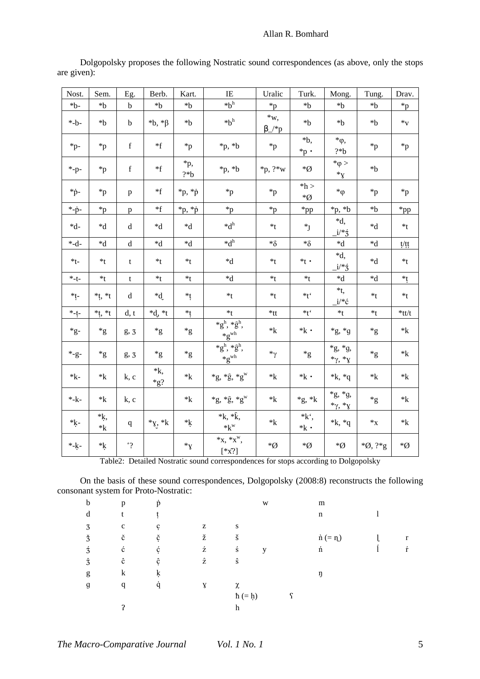| Nost.      | Sem.                 | Eg.         | Berb.               | Kart.               | IE                                                                                   | Uralic                      | Turk.                            | Mong.                                                                 | Tung.                   | Drav.            |
|------------|----------------------|-------------|---------------------|---------------------|--------------------------------------------------------------------------------------|-----------------------------|----------------------------------|-----------------------------------------------------------------------|-------------------------|------------------|
| $*b -$     | $*b$                 | $\mathbf b$ | *b                  | *b                  | $*{\bf b}^{\rm h}$                                                                   | $*_{p}$                     | $*b$                             | *b                                                                    | *b                      | $*_{p}$          |
| $*$ -b-    | $*b$                 | $\mathbf b$ | $*b, *β$            | $*b$                | $*{\bf b}^{\rm h}$                                                                   | $*_{W,}$<br>$\beta_{-}$ /*p | $*b$                             | *b                                                                    | *b                      | $*_{\mathrm{V}}$ |
| $*_{p-}$   | $*_{p}$              | $\mathbf f$ | $\mathbf{f}$        | $*_{p}$             | $*p, *b$                                                                             | $*_{p}$                     | *b.<br>$*_{p}$ .                 | $^*\varphi$ ,<br>$? *b$                                               | $*_{p}$                 | $*_{p}$          |
| $*$ -p-    | $\mathbf{^{\ast }p}$ | f           | $*f$                | $*_{p,}$<br>$? *b$  | $*p, *b$                                                                             | *p, $?$ *w                  | *Ø                               | ${}^*\varphi >$<br>$*_{V}$                                            | *b                      |                  |
| $*_{p}$ -  | $\ast_{p}$           | p           | $*$ f               | $*p, *p$            | $*_{p}$                                                                              | $\ast_{p}$                  | $*h$<br>*Ø                       | ${}^*\varphi$                                                         | $*_{p}$                 | $*_{p}$          |
| $*-p-$     | $*_{p}$              | p           | $*$ f               | $*p, *p$            | $*_{p}$                                                                              | $*_{p}$                     | *pp                              | $*p, *b$                                                              | *b                      | $*_{\rm pp}$     |
| $*d-$      | $^{*d}$              | d           | $*d$                | ħ*                  | $*d^h$                                                                               | $*_t$                       | $*_{1}$                          | *d,<br>$-i^{*}3$                                                      | $*d$                    | $*_{t}$          |
| $*$ -d-    | $h^*$                | d           | $*d$                | $*d$                | $*d^h$                                                                               | $*\delta$                   | $*\delta$                        | $h^*$                                                                 | $\overline{\mathbf{d}}$ | t/tt             |
| $*_{t-}$   | *t                   | t           | *t                  | *t                  | $\ast$ d                                                                             | *t                          | $*_t$ .                          | *d,<br>$-i^{*}3$                                                      | $*d$                    | $*_{t}$          |
| $*$ -t-    | $*_{t}$              | t           | $*_{t}$             | $*_{t}$             | $*d$                                                                                 | $*_{t}$                     | $*_{t}$                          | $\mathbf{d}^*$                                                        | $\overline{\mathbf{d}}$ | $*_{t}$          |
| $*_{t-}$   | $*$ t, $*$ t         | d           | *d                  | $*_{t}$             | $*_t$                                                                                | *t                          | $*_{t}$                          | $*_t$ ,<br>$i$ <sup>*</sup> ć                                         | $*_{t}$                 | $*_{t}$          |
| $*$ -t-    | $*$ t, $*$ t         | d, t        | *d, *t              | *t                  | $*_{t}$                                                                              | $*$ tt                      | $*$ t $\cdot$                    | $*_t$                                                                 | $*_{t}$                 | $*$ tt/t         |
| $*_{g}$ -  | $*_{g}$              | g, 3        | $*_{g}$             | $*_{g}$             | $*_g^h, *_g^h,$<br>$*_{g}^{\text{wh}}$                                               | $*_{k}$                     | $*_{k}$ .                        | $*g, *g$                                                              | $\,{}^*g$               | $\mathbf{K}$     |
| $*$ -g-    | $\rm ^*g$            | g, 3        | $\mathbf{^{\ast}g}$ | $\mathbf{^{\ast}g}$ | ${}^*\mathrm{g}^\mathrm{h}, {}^*\hat{\mathrm{g}}^\mathrm{h},$<br>$*_{g}^{\text{wh}}$ | $*_\gamma$                  | $*_{g}$                          | $^{\ast}\mathrm{g},$ $^{\ast}\mathrm{g},$<br>$*\gamma$ , $*_{\gamma}$ | $*_{g}$                 | $\mathbf{K}$     |
| $*_{k-}$   | $*_{k}$              | k, c        | *k,<br>$*_{g?}$     | $*_{k}$             | *g, * $\hat{g}$ , * $g^w$                                                            | $*_{k}$                     | $*_{k}$ .                        | $*$ k, $*$ q                                                          | $*_{k}$                 | $*_{k}$          |
| $\ast$ -k- | $*_{k}$              | k, c        |                     | $*_{k}$             | $*_{g, *_{g, *_{g}}^w$                                                               | $*_{k}$                     | $*_{g,*k}$                       | $^{\ast}\mathrm{g},$ $^{\ast}\mathrm{g},$<br>* $\gamma$ , * $\gamma$  | $*_{g}$                 | $\mathbf{K}$     |
| $\ast_{k}$ | *ķ,<br>$\mathbf{k}$  | q           | $*_X$ , $*_k$       | $*_{k}$             | $*_{k, *k, *_{k, *}}$<br>$*_{k}$ <sup>w</sup>                                        | $*_{k}$                     | $*{\bf k}^{\prime}$<br>$*_{k}$ . | $*$ k, $*$ q                                                          | $*_{X}$                 | $*_{k}$          |
| $*$ -k-    | $\mathbf{k}$         | $\cdot$ ?   |                     | $\ast_{\mathrm{V}}$ | *x, *x",<br>$[*x?]$                                                                  | *Ø                          | *Ø                               | *Ø                                                                    | $*Q, ?*g$               | *Ø               |

Dolgopolsky proposes the following Nostratic sound correspondences (as above, only the stops are given):

Table2: Detailed Nostratic sound correspondences for stops according to Dolgopolsky

On the basis of these sound correspondences, Dolgopolsky (2008:8) reconstructs the following consonant system for Proto-Nostratic:

| $\mathbf b$ | p           | p |                    |                     | W | m                  |   |
|-------------|-------------|---|--------------------|---------------------|---|--------------------|---|
| d           |             |   |                    |                     |   | n                  |   |
| 3           | $\mathbf c$ | c | z                  | S                   |   |                    |   |
| $\check{3}$ | č           | č | ž                  | š                   |   | $\dot{n} (= \eta)$ | r |
| ź           | ć           | Ċ | ź                  | ś                   | v | ń                  | ŕ |
| $\hat{3}$   | ĉ           | ĉ | $\hat{\mathsf{z}}$ | ŝ                   |   |                    |   |
| g           | k           | ķ |                    |                     |   | ŋ                  |   |
| g           | q           | a | Y                  | χ                   |   |                    |   |
|             |             |   |                    | $\hbar (= \dot{h})$ |   |                    |   |
|             | ົ           |   |                    | h                   |   |                    |   |
|             |             |   |                    |                     |   |                    |   |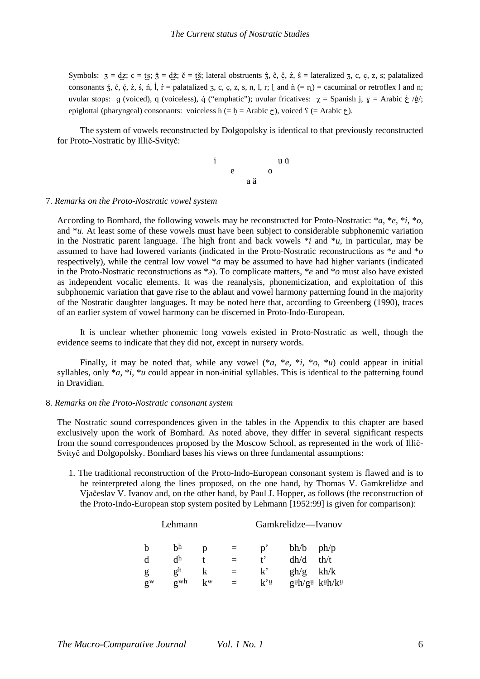Symbols:  $\bar{z} = dz$ ;  $\bar{c} = ts$ ;  $\bar{z} = d\bar{z}$ ;  $\bar{c} = t\bar{s}$ ; lateral obstruents  $\hat{z}$ ,  $\hat{c}$ ,  $\hat{c}$ ,  $\hat{z}$ ,  $\hat{s}$  = lateralized  $\bar{z}$ , c, c, z, s; palatalized consonants  $\dot{5}$ ,  $\dot{c}$ ,  $\dot{c}$ ,  $\dot{z}$ ,  $\dot{5}$ ,  $\dot{n}$ ,  $\dot{l}$ ,  $\dot{r}$  = palatalized  $\dot{3}$ , c, c, z, s, n, l, r; l and  $\dot{n}$  (=  $\dot{n}$ ) = cacuminal or retroflex l and n; uvular stops: q (voiced), q (voiceless), q ("emphatic"); uvular fricatives:  $\gamma$  = Spanish j,  $\gamma$  = Arabic  $\dot{\gamma}$  /g/; epiglottal (pharyngeal) consonants: voiceless  $\hbar (= h = \text{Arabic } \tau)$ , voiced  $\iota$  (= Arabic  $\epsilon$ ).

The system of vowels reconstructed by Dolgopolsky is identical to that previously reconstructed for Proto-Nostratic by Illič-Svityč:



#### 7. *Remarks on the Proto-Nostratic vowel system*

According to Bomhard, the following vowels may be reconstructed for Proto-Nostratic: \**a*, \**e*, \**i*, \**o*, and \**u*. At least some of these vowels must have been subject to considerable subphonemic variation in the Nostratic parent language. The high front and back vowels \**i* and \**u*, in particular, may be assumed to have had lowered variants (indicated in the Proto-Nostratic reconstructions as \**e* and \**o* respectively), while the central low vowel \**a* may be assumed to have had higher variants (indicated in the Proto-Nostratic reconstructions as \**ə*). To complicate matters, \**e* and \**o* must also have existed as independent vocalic elements. It was the reanalysis, phonemicization, and exploitation of this subphonemic variation that gave rise to the ablaut and vowel harmony patterning found in the majority of the Nostratic daughter languages. It may be noted here that, according to Greenberg (1990), traces of an earlier system of vowel harmony can be discerned in Proto-Indo-European.

It is unclear whether phonemic long vowels existed in Proto-Nostratic as well, though the evidence seems to indicate that they did not, except in nursery words.

Finally, it may be noted that, while any vowel  $(*a, *e, *i, *o, *u)$  could appear in initial syllables, only  $*a$ ,  $*$ *i*,  $*$ *u* could appear in non-initial syllables. This is identical to the patterning found in Dravidian.

#### 8. *Remarks on the Proto-Nostratic consonant system*

The Nostratic sound correspondences given in the tables in the Appendix to this chapter are based exclusively upon the work of Bomhard. As noted above, they differ in several significant respects from the sound correspondences proposed by the Moscow School, as represented in the work of Illič-Svityč and Dolgopolsky. Bomhard bases his views on three fundamental assumptions:

1. The traditional reconstruction of the Proto-Indo-European consonant system is flawed and is to be reinterpreted along the lines proposed, on the one hand, by Thomas V. Gamkrelidze and Vjačeslav V. Ivanov and, on the other hand, by Paul J. Hopper, as follows (the reconstruction of the Proto-Indo-European stop system posited by Lehmann [1952:99] is given for comparison):

|       | Lehmann        |              |          | Gamkrelidze—Ivanov    |               |                           |
|-------|----------------|--------------|----------|-----------------------|---------------|---------------------------|
| b     | b <sup>h</sup> | $\mathbf{D}$ | $\equiv$ | $\mathbf{D}^{\prime}$ | $bh/b$ $ph/p$ |                           |
| d     | d <sup>h</sup> |              |          | $f^{\prime}$          | dh/d          | th/t                      |
| g     | $\mathbf{g}$ h | k            | $=$      | $k^{\prime}$          | $gh/g$ kh/k   |                           |
| $g^w$ | $\sigma$ wh    | $k^w$        |          | $k^{\prime}$          |               | $g^{\mu}h/g^{\mu}$ kuh/ku |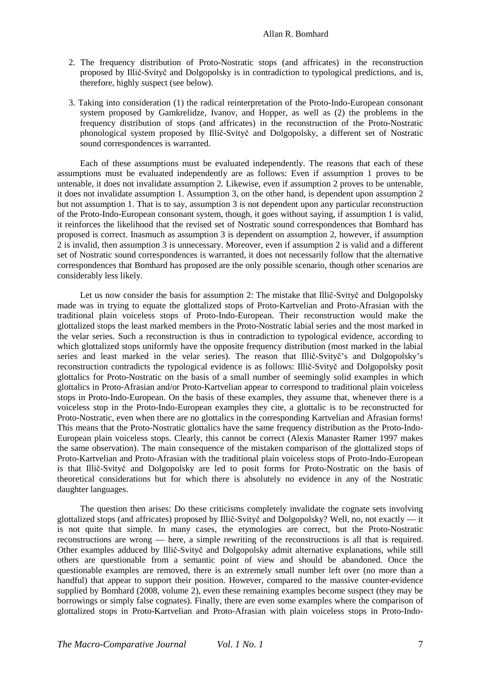- 2. The frequency distribution of Proto-Nostratic stops (and affricates) in the reconstruction proposed by Illič-Svityč and Dolgopolsky is in contradiction to typological predictions, and is, therefore, highly suspect (see below).
- 3. Taking into consideration (1) the radical reinterpretation of the Proto-Indo-European consonant system proposed by Gamkrelidze, Ivanov, and Hopper, as well as (2) the problems in the frequency distribution of stops (and affricates) in the reconstruction of the Proto-Nostratic phonological system proposed by Illič-Svityč and Dolgopolsky, a different set of Nostratic sound correspondences is warranted.

Each of these assumptions must be evaluated independently. The reasons that each of these assumptions must be evaluated independently are as follows: Even if assumption 1 proves to be untenable, it does not invalidate assumption 2. Likewise, even if assumption 2 proves to be untenable, it does not invalidate assumption 1. Assumption 3, on the other hand, is dependent upon assumption 2 but not assumption 1. That is to say, assumption 3 is not dependent upon any particular reconstruction of the Proto-Indo-European consonant system, though, it goes without saying, if assumption 1 is valid, it reinforces the likelihood that the revised set of Nostratic sound correspondences that Bomhard has proposed is correct. Inasmuch as assumption 3 is dependent on assumption 2, however, if assumption 2 is invalid, then assumption 3 is unnecessary. Moreover, even if assumption 2 is valid and a different set of Nostratic sound correspondences is warranted, it does not necessarily follow that the alternative correspondences that Bomhard has proposed are the only possible scenario, though other scenarios are considerably less likely.

Let us now consider the basis for assumption 2: The mistake that Illič-Svityč and Dolgopolsky made was in trying to equate the glottalized stops of Proto-Kartvelian and Proto-Afrasian with the traditional plain voiceless stops of Proto-Indo-European. Their reconstruction would make the glottalized stops the least marked members in the Proto-Nostratic labial series and the most marked in the velar series. Such a reconstruction is thus in contradiction to typological evidence, according to which glottalized stops uniformly have the opposite frequency distribution (most marked in the labial series and least marked in the velar series). The reason that Illič-Svityč's and Dolgopolsky's reconstruction contradicts the typological evidence is as follows: Illič-Svityč and Dolgopolsky posit glottalics for Proto-Nostratic on the basis of a small number of seemingly solid examples in which glottalics in Proto-Afrasian and/or Proto-Kartvelian appear to correspond to traditional plain voiceless stops in Proto-Indo-European. On the basis of these examples, they assume that, whenever there is a voiceless stop in the Proto-Indo-European examples they cite, a glottalic is to be reconstructed for Proto-Nostratic, even when there are no glottalics in the corresponding Kartvelian and Afrasian forms! This means that the Proto-Nostratic glottalics have the same frequency distribution as the Proto-Indo-European plain voiceless stops. Clearly, this cannot be correct (Alexis Manaster Ramer 1997 makes the same observation). The main consequence of the mistaken comparison of the glottalized stops of Proto-Kartvelian and Proto-Afrasian with the traditional plain voiceless stops of Proto-Indo-European is that Illič-Svityč and Dolgopolsky are led to posit forms for Proto-Nostratic on the basis of theoretical considerations but for which there is absolutely no evidence in any of the Nostratic daughter languages.

The question then arises: Do these criticisms completely invalidate the cognate sets involving glottalized stops (and affricates) proposed by Illič-Svityč and Dolgopolsky? Well, no, not exactly — it is not quite that simple. In many cases, the etymologies are correct, but the Proto-Nostratic reconstructions are wrong — here, a simple rewriting of the reconstructions is all that is required. Other examples adduced by Illič-Svityč and Dolgopolsky admit alternative explanations, while still others are questionable from a semantic point of view and should be abandoned. Once the questionable examples are removed, there is an extremely small number left over (no more than a handful) that appear to support their position. However, compared to the massive counter-evidence supplied by Bomhard (2008, volume 2), even these remaining examples become suspect (they may be borrowings or simply false cognates). Finally, there are even some examples where the comparison of glottalized stops in Proto-Kartvelian and Proto-Afrasian with plain voiceless stops in Proto-Indo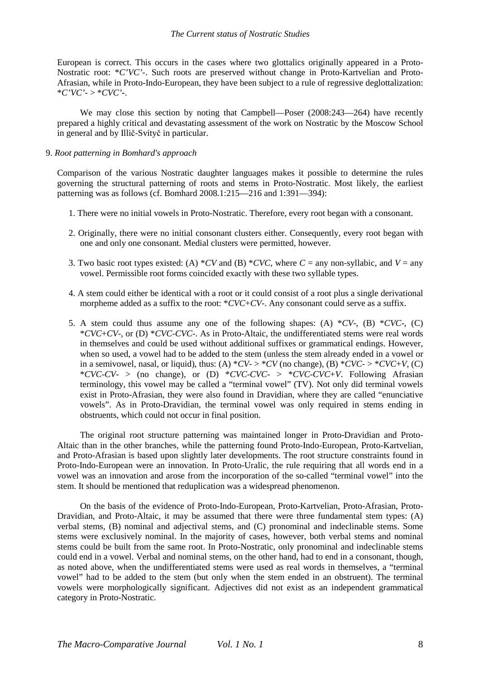European is correct. This occurs in the cases where two glottalics originally appeared in a Proto-Nostratic root: \**C'VC'-*. Such roots are preserved without change in Proto-Kartvelian and Proto-Afrasian, while in Proto-Indo-European, they have been subject to a rule of regressive deglottalization: \**C'VC'-* > \**CVC'***-**.

We may close this section by noting that Campbell—Poser (2008:243—264) have recently prepared a highly critical and devastating assessment of the work on Nostratic by the Moscow School in general and by Illič-Svityč in particular.

#### 9. *Root patterning in Bomhard's approach*

Comparison of the various Nostratic daughter languages makes it possible to determine the rules governing the structural patterning of roots and stems in Proto-Nostratic. Most likely, the earliest patterning was as follows (cf. Bomhard 2008.1:215—216 and 1:391—394):

- 1. There were no initial vowels in Proto-Nostratic. Therefore, every root began with a consonant.
- 2. Originally, there were no initial consonant clusters either. Consequently, every root began with one and only one consonant. Medial clusters were permitted, however.
- 3. Two basic root types existed: (A) \**CV* and (B) \**CVC*, where *C* = any non-syllabic, and *V* = any vowel. Permissible root forms coincided exactly with these two syllable types.
- 4. A stem could either be identical with a root or it could consist of a root plus a single derivational morpheme added as a suffix to the root: \**CVC*+*CV*-. Any consonant could serve as a suffix.
- 5. A stem could thus assume any one of the following shapes: (A) \**CV*-, (B) \**CVC*-, (C) \**CVC*+*CV*-, or (D) \**CVC*-*CVC*-. As in Proto-Altaic, the undifferentiated stems were real words in themselves and could be used without additional suffixes or grammatical endings. However, when so used, a vowel had to be added to the stem (unless the stem already ended in a vowel or in a semivowel, nasal, or liquid), thus: (A)  $*CV \rightarrow \ast CV$  (no change), (B)  $*CVC \rightarrow \ast CVC + V$ , (C) \**CVC*-*CV*- > (no change), or (D) \**CVC*-*CVC*- > \**CVC*-*CVC*+*V*. Following Afrasian terminology, this vowel may be called a "terminal vowel" (TV). Not only did terminal vowels exist in Proto-Afrasian, they were also found in Dravidian, where they are called "enunciative vowels". As in Proto-Dravidian, the terminal vowel was only required in stems ending in obstruents, which could not occur in final position.

The original root structure patterning was maintained longer in Proto-Dravidian and Proto-Altaic than in the other branches, while the patterning found Proto-Indo-European, Proto-Kartvelian, and Proto-Afrasian is based upon slightly later developments. The root structure constraints found in Proto-Indo-European were an innovation. In Proto-Uralic, the rule requiring that all words end in a vowel was an innovation and arose from the incorporation of the so-called "terminal vowel" into the stem. It should be mentioned that reduplication was a widespread phenomenon.

On the basis of the evidence of Proto-Indo-European, Proto-Kartvelian, Proto-Afrasian, Proto-Dravidian, and Proto-Altaic, it may be assumed that there were three fundamental stem types: (A) verbal stems, (B) nominal and adjectival stems, and (C) pronominal and indeclinable stems. Some stems were exclusively nominal. In the majority of cases, however, both verbal stems and nominal stems could be built from the same root. In Proto-Nostratic, only pronominal and indeclinable stems could end in a vowel. Verbal and nominal stems, on the other hand, had to end in a consonant, though, as noted above, when the undifferentiated stems were used as real words in themselves, a "terminal vowel" had to be added to the stem (but only when the stem ended in an obstruent). The terminal vowels were morphologically significant. Adjectives did not exist as an independent grammatical category in Proto-Nostratic.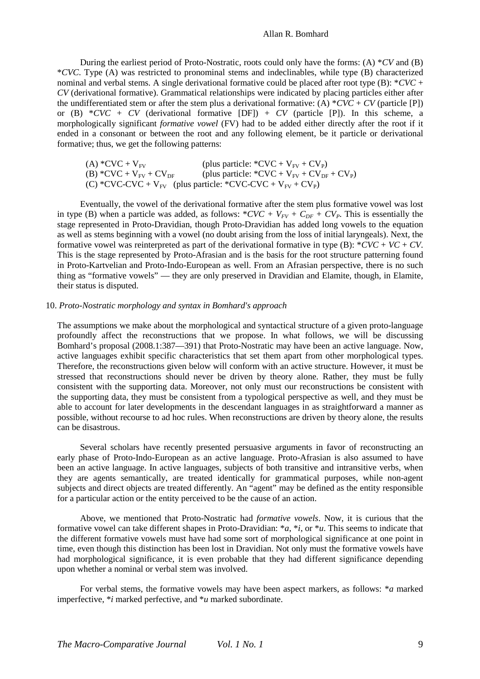During the earliest period of Proto-Nostratic, roots could only have the forms: (A) \**CV* and (B) \**CVC*. Type (A) was restricted to pronominal stems and indeclinables, while type (B) characterized nominal and verbal stems. A single derivational formative could be placed after root type (B): \**CVC* + *CV* (derivational formative). Grammatical relationships were indicated by placing particles either after the undifferentiated stem or after the stem plus a derivational formative: (A)  $*CVC + CV$  (particle [P]) or (B)  $*CVC + CV$  (derivational formative [DF]) + *CV* (particle [P]). In this scheme, a morphologically significant *formative vowel* (FV) had to be added either directly after the root if it ended in a consonant or between the root and any following element, be it particle or derivational formative; thus, we get the following patterns:

(A) \*CVC +  $V_{FV}$  (plus particle: \*CVC +  $V_{FV}$  + CV<sub>P</sub>) (B)  $^*$ CVC + V<sub>FV</sub> + CV<sub>DF</sub> (plus particle:  $^*$ CVC + V<sub>FV</sub> + CV<sub>DF</sub> + CV<sub>P</sub>) (C) \*CVC-CVC +  $V_{FV}$  (plus particle: \*CVC-CVC +  $V_{FV}$  + CV<sub>P</sub>)

Eventually, the vowel of the derivational formative after the stem plus formative vowel was lost in type (B) when a particle was added, as follows:  $*CVC + V_{FV} + C_{DF} + CV_P$ . This is essentially the stage represented in Proto-Dravidian, though Proto-Dravidian has added long vowels to the equation as well as stems beginning with a vowel (no doubt arising from the loss of initial laryngeals). Next, the formative vowel was reinterpreted as part of the derivational formative in type (B): \**CVC* + *VC* + *CV*. This is the stage represented by Proto-Afrasian and is the basis for the root structure patterning found in Proto-Kartvelian and Proto-Indo-European as well. From an Afrasian perspective, there is no such thing as "formative vowels" — they are only preserved in Dravidian and Elamite, though, in Elamite, their status is disputed.

#### 10. *Proto-Nostratic morphology and syntax in Bomhard's approach*

The assumptions we make about the morphological and syntactical structure of a given proto-language profoundly affect the reconstructions that we propose. In what follows, we will be discussing Bomhard's proposal (2008.1:387—391) that Proto-Nostratic may have been an active language. Now, active languages exhibit specific characteristics that set them apart from other morphological types. Therefore, the reconstructions given below will conform with an active structure. However, it must be stressed that reconstructions should never be driven by theory alone. Rather, they must be fully consistent with the supporting data. Moreover, not only must our reconstructions be consistent with the supporting data, they must be consistent from a typological perspective as well, and they must be able to account for later developments in the descendant languages in as straightforward a manner as possible, without recourse to ad hoc rules. When reconstructions are driven by theory alone, the results can be disastrous.

Several scholars have recently presented persuasive arguments in favor of reconstructing an early phase of Proto-Indo-European as an active language. Proto-Afrasian is also assumed to have been an active language. In active languages, subjects of both transitive and intransitive verbs, when they are agents semantically, are treated identically for grammatical purposes, while non-agent subjects and direct objects are treated differently. An "agent" may be defined as the entity responsible for a particular action or the entity perceived to be the cause of an action.

Above, we mentioned that Proto-Nostratic had *formative vowels*. Now, it is curious that the formative vowel can take different shapes in Proto-Dravidian: \**a*, \**i*, or \**u*. This seems to indicate that the different formative vowels must have had some sort of morphological significance at one point in time, even though this distinction has been lost in Dravidian. Not only must the formative vowels have had morphological significance, it is even probable that they had different significance depending upon whether a nominal or verbal stem was involved.

For verbal stems, the formative vowels may have been aspect markers, as follows: \**a* marked imperfective, \**i* marked perfective, and \**u* marked subordinate.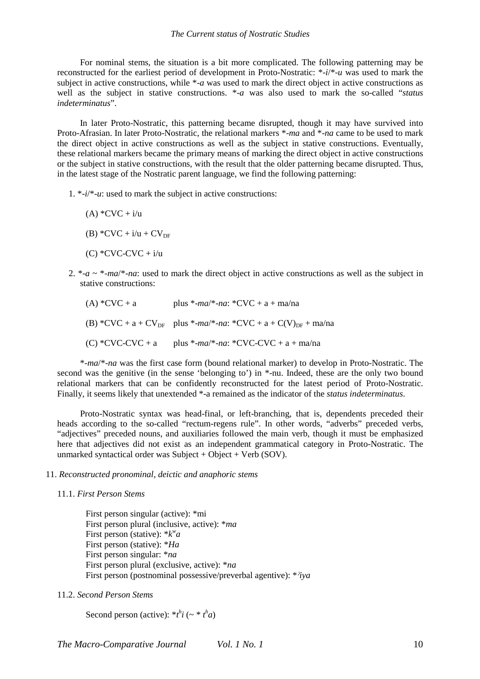For nominal stems, the situation is a bit more complicated. The following patterning may be reconstructed for the earliest period of development in Proto-Nostratic: \*-*i*/\*-*u* was used to mark the subject in active constructions, while  $*$ -*a* was used to mark the direct object in active constructions as well as the subject in stative constructions. \*-*a* was also used to mark the so-called "*status indeterminatus*".

In later Proto-Nostratic, this patterning became disrupted, though it may have survived into Proto-Afrasian. In later Proto-Nostratic, the relational markers \*-*ma* and \*-*na* came to be used to mark the direct object in active constructions as well as the subject in stative constructions. Eventually, these relational markers became the primary means of marking the direct object in active constructions or the subject in stative constructions, with the result that the older patterning became disrupted. Thus, in the latest stage of the Nostratic parent language, we find the following patterning:

- 1. \*-*i*/\*-*u*: used to mark the subject in active constructions:
	- $(A) * CVC + i/u$
	- (B)  $*CVC + i/u + CV_{DF}$
	- $(C)$  \*CVC-CVC +  $i/u$
- 2.  $*$ -*a*  $\sim$   $*$ -*ma*/ $*$ -*na*: used to mark the direct object in active constructions as well as the subject in stative constructions:
	- (A)  $*CVC + a$  plus  $*$ -*ma*/ $*$ -*na*:  $*CVC + a + ma/na$ (B) \*CVC + a + CV<sub>DF</sub> plus \*-*ma*/\*-*na*: \*CVC + a + C(V)<sub>DF</sub> + ma/na (C) \*CVC-CVC + a plus \*- $ma$ <sup>\*</sup>- $na$ : \*CVC-CVC + a + ma/na

\*-*ma*/\*-*na* was the first case form (bound relational marker) to develop in Proto-Nostratic. The second was the genitive (in the sense 'belonging to') in \*-nu. Indeed, these are the only two bound relational markers that can be confidently reconstructed for the latest period of Proto-Nostratic. Finally, it seems likely that unextended \*-a remained as the indicator of the *status indeterminatus*.

Proto-Nostratic syntax was head-final, or left-branching, that is, dependents preceded their heads according to the so-called "rectum-regens rule". In other words, "adverbs" preceded verbs, "adjectives" preceded nouns, and auxiliaries followed the main verb, though it must be emphasized here that adjectives did not exist as an independent grammatical category in Proto-Nostratic. The unmarked syntactical order was Subject + Object + Verb (SOV).

## 11. *Reconstructed pronominal, deictic and anaphoric stems*

#### 11.1. *First Person Stems*

First person singular (active): \*mi First person plural (inclusive, active): \**ma* First person (stative):  $*k^wa$ First person (stative): \**Ha* First person singular: \**na* First person plural (exclusive, active): \**na* First person (postnominal possessive/preverbal agentive): \**ˀiya*

#### 11.2. *Second Person Stems*

Second person (active):  $*f<sup>h</sup>i$  ( $\sim * t<sup>h</sup>a$ )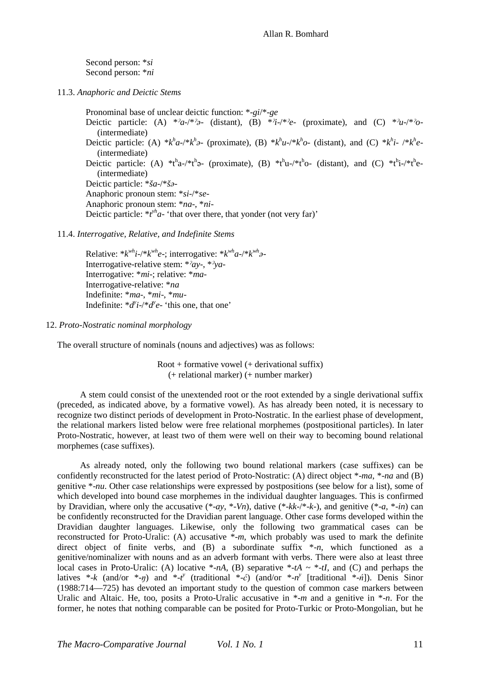Second person: \**si* Second person: \**ni*

11.3. *Anaphoric and Deictic Stems* 

Pronominal base of unclear deictic function: \*-*gi*/\*-*ge* Deictic particle: (A)  $*^2a^{-1}*^3a$ - (distant), (B)  $*^7i^{-1}*^2e$ - (proximate), and (C)  $*^7u^{-1}*^7o$ -(intermediate) Deictic particle: (A)  $*k^h a^{-k} k^h a$ - (proximate), (B)  $*k^h u^{-k} k^h a$ - (distant), and (C)  $*k^h i^{-k} k^h a^{-k}$ (intermediate) Deictic particle: (A)  $*$ t<sup>h</sup>a-/ $*$ t<sup>h</sup>a- (proximate), (B)  $*$ t<sup>h</sup>u-/ $*$ t<sup>h</sup>o- (distant), and (C)  $*$ t<sup>h</sup>i-/ $*$ t<sup>h</sup>e-(intermediate) Deictic particle: \**ša*-/\**šə*-Anaphoric pronoun stem: \**si*-/\**se*-Anaphoric pronoun stem: \**na*-, \**ni*-Deictic particle:  $*_{t}^{y}h_{a}$ - 'that over there, that yonder (not very far)'

# 11.4. *Interrogative, Relative, and Indefinite Stems*

Relative: \**k whi*-/\**k wh e*-; interrogative: \**k wh a*-/\**k wh ə*-Interrogative-relative stem: \**ˀay*-, \**ˀya*-Interrogative: \**mi*-; relative: \**ma*-Interrogative-relative: \**na* Indefinite: \**ma*-, \**mi*-, \**mu*-Indefinite:  $d^{\gamma}i$ -/ $d^{\gamma}e$ - 'this one, that one'

## 12. *Proto-Nostratic nominal morphology*

The overall structure of nominals (nouns and adjectives) was as follows:

 $Root + formative vowel (+ derivational suffix)$ (+ relational marker) (+ number marker)

A stem could consist of the unextended root or the root extended by a single derivational suffix (preceded, as indicated above, by a formative vowel). As has already been noted, it is necessary to recognize two distinct periods of development in Proto-Nostratic. In the earliest phase of development, the relational markers listed below were free relational morphemes (postpositional particles). In later Proto-Nostratic, however, at least two of them were well on their way to becoming bound relational morphemes (case suffixes).

As already noted, only the following two bound relational markers (case suffixes) can be confidently reconstructed for the latest period of Proto-Nostratic: (A) direct object \*-*ma*, \*-*na* and (B) genitive \*-*nu*. Other case relationships were expressed by postpositions (see below for a list), some of which developed into bound case morphemes in the individual daughter languages. This is confirmed by Dravidian, where only the accusative (\*-*ay*, \*-*Vn*), dative (\*-*kk*-/\*-*k*-), and genitive (\*-*a*, \*-*in*) can be confidently reconstructed for the Dravidian parent language. Other case forms developed within the Dravidian daughter languages. Likewise, only the following two grammatical cases can be reconstructed for Proto-Uralic: (A) accusative \*-*m*, which probably was used to mark the definite direct object of finite verbs, and (B) a subordinate suffix \*-*n*, which functioned as a genitive/nominalizer with nouns and as an adverb formant with verbs. There were also at least three local cases in Proto-Uralic: (A) locative  $*$ -*nA*, (B) separative  $*$ -*tA*  $\sim$   $*$ -*tI*, and (C) and perhaps the latives \*-*k* (and/or \*-*ŋ*) and \*-*t*<sup>*y*</sup> (traditional \*-*ć*) (and/or \*-*n*<sup>*y*</sup> [traditional \*-*ń*]). Denis Sinor (1988:714—725) has devoted an important study to the question of common case markers between Uralic and Altaic. He, too, posits a Proto-Uralic accusative in \*-*m* and a genitive in \*-*n*. For the former, he notes that nothing comparable can be posited for Proto-Turkic or Proto-Mongolian, but he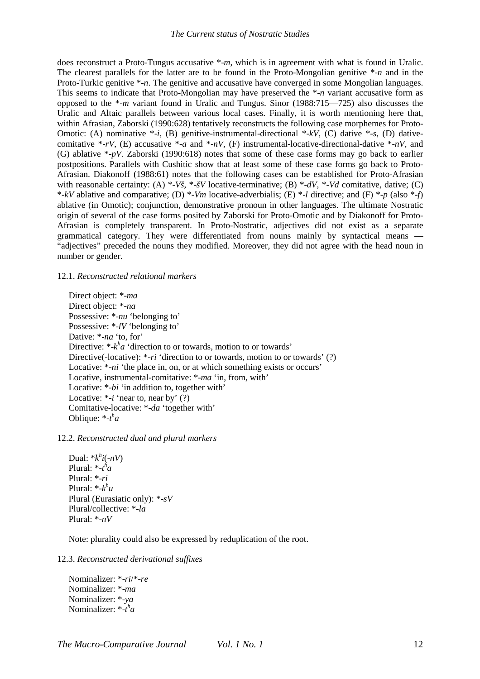does reconstruct a Proto-Tungus accusative \*-*m*, which is in agreement with what is found in Uralic. The clearest parallels for the latter are to be found in the Proto-Mongolian genitive \*-*n* and in the Proto-Turkic genitive \*-*n*. The genitive and accusative have converged in some Mongolian languages. This seems to indicate that Proto-Mongolian may have preserved the \*-*n* variant accusative form as opposed to the \*-*m* variant found in Uralic and Tungus. Sinor (1988:715—725) also discusses the Uralic and Altaic parallels between various local cases. Finally, it is worth mentioning here that, within Afrasian, Zaborski (1990:628) tentatively reconstructs the following case morphemes for Proto-Omotic: (A) nominative  $*_i$ , (B) genitive-instrumental-directional  $*_k$ V, (C) dative  $*_s$ , (D) dativecomitative  $*$ -*rV*, (E) accusative  $*$ -*a* and  $*$ -*nV*, (F) instrumental-locative-directional-dative  $*$ -*nV*, and (G) ablative \*-*pV*. Zaborski (1990:618) notes that some of these case forms may go back to earlier postpositions. Parallels with Cushitic show that at least some of these case forms go back to Proto-Afrasian. Diakonoff (1988:61) notes that the following cases can be established for Proto-Afrasian with reasonable certainty: (A) \*-*Vš*, \*-*šV* locative-terminative; (B) \*-*dV*, \*-*Vd* comitative, dative; (C) \*-*kV* ablative and comparative; (D) \*-*Vm* locative-adverbialis; (E) \*-*l* directive; and (F) \*-*p* (also \*-*f*) ablative (in Omotic); conjunction, demonstrative pronoun in other languages. The ultimate Nostratic origin of several of the case forms posited by Zaborski for Proto-Omotic and by Diakonoff for Proto-Afrasian is completely transparent. In Proto-Nostratic, adjectives did not exist as a separate grammatical category. They were differentiated from nouns mainly by syntactical means — "adjectives" preceded the nouns they modified. Moreover, they did not agree with the head noun in number or gender.

#### 12.1. *Reconstructed relational markers*

Direct object: \*-*ma* Direct object: \*-*na* Possessive: \*-*nu* 'belonging to' Possessive: \*-*lV* 'belonging to' Dative: \*-*na* 'to, for' Directive: \*-*k*<sup>h</sup>a 'direction to or towards, motion to or towards' Directive(-locative): \*-*ri* 'direction to or towards, motion to or towards' (?) Locative: \*-*ni* 'the place in, on, or at which something exists or occurs' Locative, instrumental-comitative: \*-*ma* 'in, from, with' Locative: \*-*bi* 'in addition to, together with' Locative: \*-*i* 'near to, near by' (?) Comitative-locative: \*-*da* 'together with' Oblique:  $*$ - $t^h a$ 

## 12.2. *Reconstructed dual and plural markers*

Dual:  $*k^h i(-nV)$ Plural:  $*$ -*t<sup>h</sup>a* Plural: \*-*ri* Plural:  $*$ - $k<sup>h</sup>$ *u* Plural (Eurasiatic only): \*-*sV* Plural/collective: \*-*la* Plural: \*-*nV*

Note: plurality could also be expressed by reduplication of the root.

#### 12.3. *Reconstructed derivational suffixes*

Nominalizer: \*-*ri*/\*-*re* Nominalizer: \*-*ma* Nominalizer: \*-*ya* Nominalizer: \*-*t h a*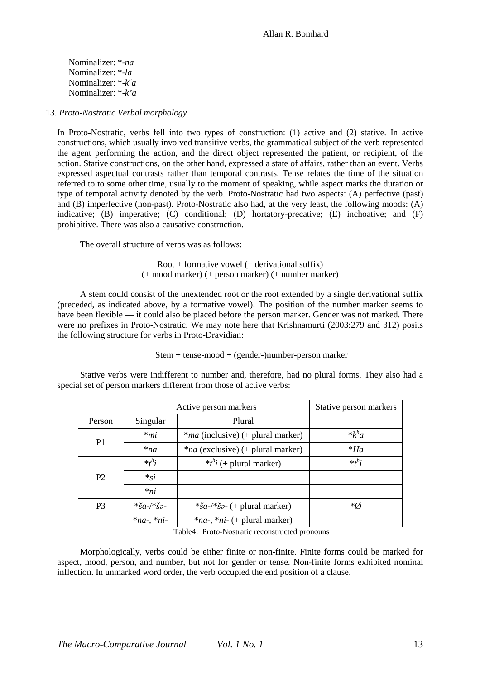Nominalizer: \*-*na* Nominalizer: \*-*la* Nominalizer: \*-*k h a* Nominalizer: \*-*k'a*

13. *Proto-Nostratic Verbal morphology* 

In Proto-Nostratic, verbs fell into two types of construction: (1) active and (2) stative. In active constructions, which usually involved transitive verbs, the grammatical subject of the verb represented the agent performing the action, and the direct object represented the patient, or recipient, of the action. Stative constructions, on the other hand, expressed a state of affairs, rather than an event. Verbs expressed aspectual contrasts rather than temporal contrasts. Tense relates the time of the situation referred to to some other time, usually to the moment of speaking, while aspect marks the duration or type of temporal activity denoted by the verb. Proto-Nostratic had two aspects: (A) perfective (past) and (B) imperfective (non-past). Proto-Nostratic also had, at the very least, the following moods: (A) indicative; (B) imperative; (C) conditional; (D) hortatory-precative; (E) inchoative; and (F) prohibitive. There was also a causative construction.

The overall structure of verbs was as follows:

 $Root + formative vowel (+ derivational suffix)$ (+ mood marker) (+ person marker) (+ number marker)

A stem could consist of the unextended root or the root extended by a single derivational suffix (preceded, as indicated above, by a formative vowel). The position of the number marker seems to have been flexible — it could also be placed before the person marker. Gender was not marked. There were no prefixes in Proto-Nostratic. We may note here that Krishnamurti (2003:279 and 312) posits the following structure for verbs in Proto-Dravidian:

## Stem + tense-mood + (gender-)number-person marker

Stative verbs were indifferent to number and, therefore, had no plural forms. They also had a special set of person markers different from those of active verbs:

|                |                                                | Active person markers                               | Stative person markers |
|----------------|------------------------------------------------|-----------------------------------------------------|------------------------|
| Person         | Singular                                       | Plural                                              |                        |
| P <sub>1</sub> | $*_{mi}$                                       | <i>*ma</i> (inclusive) (+ plural marker)            | $* k^h a$              |
|                | $*_{na}$                                       | <i>*na</i> (exclusive) (+ plural marker)            | $*Ha$                  |
|                | $*_{t}{}^{h}i$                                 | $*_{t}^{h}$ i (+ plural marker)                     | $*_{t}{}^{h}i$         |
| P <sub>2</sub> | $*_{si}$                                       |                                                     |                        |
|                | $*_{ni}$                                       |                                                     |                        |
| P <sub>3</sub> | * $\check{a}a^{-}/\check{a}a^{-}$              | * $\check{s}a$ -/* $\check{s}a$ - (+ plural marker) | *Ø                     |
|                | $*na-, *ni-$<br>$*na-, *ni- (+ plural marker)$ |                                                     |                        |

Table4: Proto-Nostratic reconstructed pronouns

Morphologically, verbs could be either finite or non-finite. Finite forms could be marked for aspect, mood, person, and number, but not for gender or tense. Non-finite forms exhibited nominal inflection. In unmarked word order, the verb occupied the end position of a clause.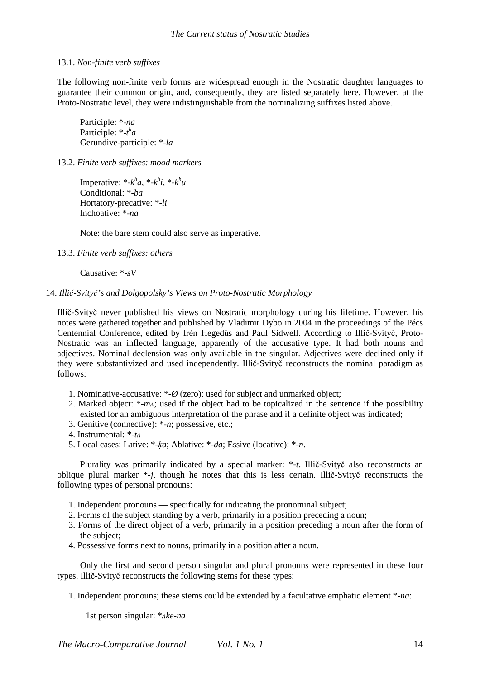## 13.1. *Non-finite verb suffixes*

The following non-finite verb forms are widespread enough in the Nostratic daughter languages to guarantee their common origin, and, consequently, they are listed separately here. However, at the Proto-Nostratic level, they were indistinguishable from the nominalizing suffixes listed above.

Participle: \*-*na* Participle: \*-*t h a* Gerundive-participle: \*-*la*

13.2. *Finite verb suffixes: mood markers*

Imperative:  $A^hA^hA$ ,  $A^hA^hA^hA^h$ Conditional: \*-*ba* Hortatory-precative: \*-*li* Inchoative: \*-*na*

Note: the bare stem could also serve as imperative.

13.3. *Finite verb suffixes: others*

Causative: \*-*sV*

#### 14. *Illič-Svityč's and Dolgopolsky's Views on Proto-Nostratic Morphology*

Illič-Svityč never published his views on Nostratic morphology during his lifetime. However, his notes were gathered together and published by Vladimir Dybo in 2004 in the proceedings of the Pécs Centennial Conference, edited by Irén Hegedűs and Paul Sidwell. According to Illič-Svityč, Proto-Nostratic was an inflected language, apparently of the accusative type. It had both nouns and adjectives. Nominal declension was only available in the singular. Adjectives were declined only if they were substantivized and used independently. Illič-Svityč reconstructs the nominal paradigm as follows:

- 1. Nominative-accusative: \**-Ø* (zero); used for subject and unmarked object;
- 2. Marked object: \**-mʌ*; used if the object had to be topicalized in the sentence if the possibility existed for an ambiguous interpretation of the phrase and if a definite object was indicated;
- 3. Genitive (connective): \**-n*; possessive, etc.;
- 4. Instrumental: \**-tʌ*
- 5. Local cases: Lative: \**-ḳa*; Ablative: \**-da*; Essive (locative): \**-n*.

Plurality was primarily indicated by a special marker: \**-t*. Illič-Svityč also reconstructs an oblique plural marker \**-j*, though he notes that this is less certain. Illič-Svityč reconstructs the following types of personal pronouns:

- 1. Independent pronouns specifically for indicating the pronominal subject;
- 2. Forms of the subject standing by a verb, primarily in a position preceding a noun;
- 3. Forms of the direct object of a verb, primarily in a position preceding a noun after the form of the subject;
- 4. Possessive forms next to nouns, primarily in a position after a noun.

Only the first and second person singular and plural pronouns were represented in these four types. Illič-Svityč reconstructs the following stems for these types:

1. Independent pronouns; these stems could be extended by a facultative emphatic element \**-na*:

1st person singular: \**ʌke-na*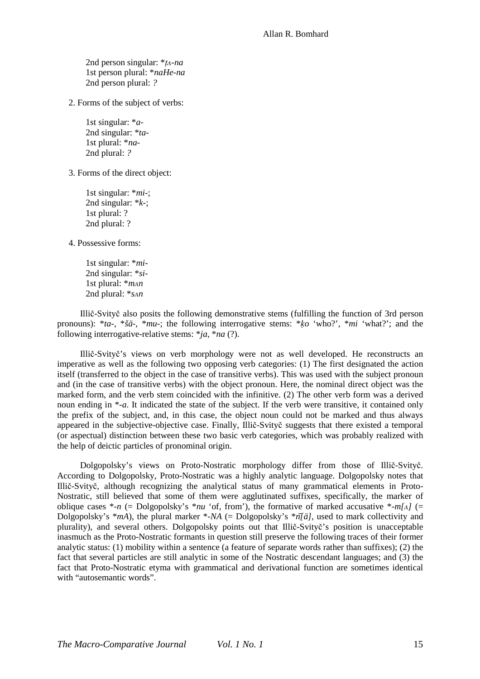2nd person singular: \**ṭʌ-na* 1st person plural: \**naHe-na* 2nd person plural: *?*

2. Forms of the subject of verbs:

1st singular: \**a-*2nd singular: \**ta-*1st plural: \**na-*2nd plural: *?*

3. Forms of the direct object:

1st singular: \**mi-*; 2nd singular: \**k-*; 1st plural: ? 2nd plural: ?

4. Possessive forms:

1st singular: \**mi-*2nd singular: \**si-*1st plural: \**mʌn* 2nd plural: \**sʌn*

Illič-Svityč also posits the following demonstrative stems (fulfilling the function of 3rd person pronouns): \**ta-*, \**šä-*, \**mu-*; the following interrogative stems: \**ḳo* 'who?', \**mi* 'what?'; and the following interrogative-relative stems: \**ja*, \**na* (?).

Illič-Svityč's views on verb morphology were not as well developed. He reconstructs an imperative as well as the following two opposing verb categories: (1) The first designated the action itself (transferred to the object in the case of transitive verbs). This was used with the subject pronoun and (in the case of transitive verbs) with the object pronoun. Here, the nominal direct object was the marked form, and the verb stem coincided with the infinitive. (2) The other verb form was a derived noun ending in \**-a*. It indicated the state of the subject. If the verb were transitive, it contained only the prefix of the subject, and, in this case, the object noun could not be marked and thus always appeared in the subjective-objective case. Finally, Illič-Svityč suggests that there existed a temporal (or aspectual) distinction between these two basic verb categories, which was probably realized with the help of deictic particles of pronominal origin.

Dolgopolsky's views on Proto-Nostratic morphology differ from those of Illič-Svityč. According to Dolgopolsky, Proto-Nostratic was a highly analytic language. Dolgopolsky notes that Illič-Svityč, although recognizing the analytical status of many grammatical elements in Proto-Nostratic, still believed that some of them were agglutinated suffixes, specifically, the marker of oblique cases  $*$ -n (= Dolgopolsky's  $*nu$  'of, from'), the formative of marked accusative  $*$ -m[ $\alpha$ ] (= Dolgopolsky's \**mA*), the plural marker \**-NA* (= Dolgopolsky's \**n*̄*[ä]*, used to mark collectivity and plurality), and several others. Dolgopolsky points out that Illič-Svityč's position is unacceptable inasmuch as the Proto-Nostratic formants in question still preserve the following traces of their former analytic status: (1) mobility within a sentence (a feature of separate words rather than suffixes); (2) the fact that several particles are still analytic in some of the Nostratic descendant languages; and (3) the fact that Proto-Nostratic etyma with grammatical and derivational function are sometimes identical with "autosemantic words".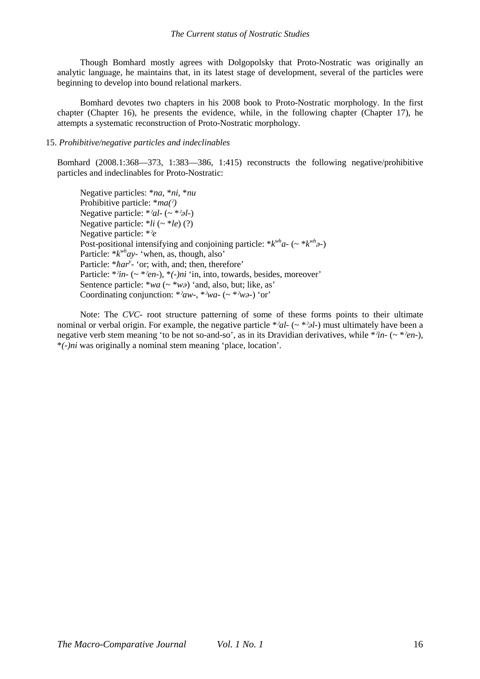Though Bomhard mostly agrees with Dolgopolsky that Proto-Nostratic was originally an analytic language, he maintains that, in its latest stage of development, several of the particles were beginning to develop into bound relational markers.

Bomhard devotes two chapters in his 2008 book to Proto-Nostratic morphology. In the first chapter (Chapter 16), he presents the evidence, while, in the following chapter (Chapter 17), he attempts a systematic reconstruction of Proto-Nostratic morphology.

## 15. *Prohibitive/negative particles and indeclinables*

Bomhard (2008.1:368—373, 1:383—386, 1:415) reconstructs the following negative/prohibitive particles and indeclinables for Proto-Nostratic:

Negative particles: \**na*, \**ni*, \**nu*  Prohibitive particle: \**ma(ˀ)*  Negative particle: \**ˀal-* (~ \**ˀəl-*) Negative particle: \**li* (~ \**le*) (?) Negative particle: \**ˀe*  Post-positional intensifying and conjoining particle:  $* k^{wh} a - (- *k^{wh} a)$ Particle:  $* k^{wh}ay$ - 'when, as, though, also' Particle: \**har*<sup>y</sup>- 'or; with, and; then, therefore' Particle: \**ˀin-* (~ \**ˀen-*), \**(-)ni* 'in, into, towards, besides, moreover' Sentence particle: \**wa* (~ \**wə*) 'and, also, but; like, as' Coordinating conjunction: \**ˀaw-*, \**ˀwa-* (~ \**ˀwə-*) 'or'

Note: The *CVC-* root structure patterning of some of these forms points to their ultimate nominal or verbal origin. For example, the negative particle \**ˀal-* (~ \**ˀəl-*) must ultimately have been a negative verb stem meaning 'to be not so-and-so', as in its Dravidian derivatives, while \**ˀin-* (~ \**ˀen-*), \**(-)ni* was originally a nominal stem meaning 'place, location'.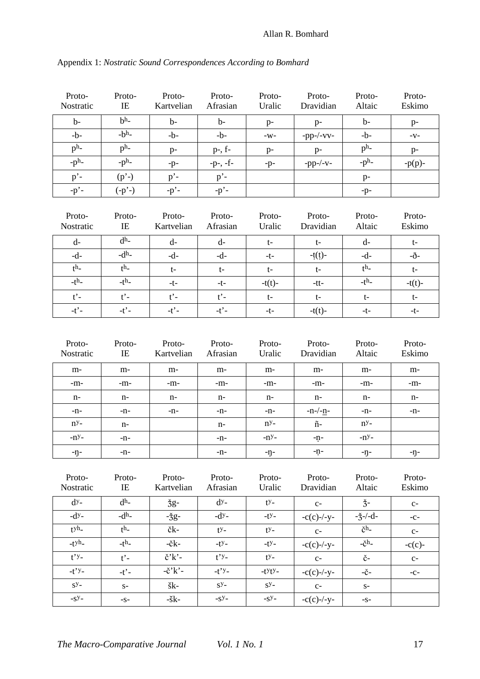| Proto-<br>Nostratic | Proto-<br>IE   | Proto-<br>Kartvelian | Proto-<br>Afrasian | Proto-<br>Uralic | Proto-<br>Dravidian | Proto-<br>Altaic | Proto-<br>Eskimo |
|---------------------|----------------|----------------------|--------------------|------------------|---------------------|------------------|------------------|
| $b-$                | b <sup>h</sup> | $b-$                 | $b-$               | $p-$             | $p-$                | $b-$             | $p-$             |
| $-b-$               | $-bh$          | $-b-$                | $-b-$              | $-W-$            | $-pp$ -/-vv-        | $-b-$            | $-V-$            |
| p <sup>h</sup>      | p <sup>h</sup> | $p-$                 | $p-, f-$           | $p-$             | $p-$                | p <sup>h</sup>   | $p-$             |
| $-ph$               | $-ph$          | $-p-$                | $-p-,-f-$          | $-p-$            | $-pp$ -/-v-         | $-ph$            | $-p(p)$ -        |
| $p'$ -              | $(p^2-)$       | $p'$ -               | $p'$ -             |                  |                     | $p-$             |                  |
| $-p$ <sup>-</sup>   | $(-p^2-)$      | $-p$ <sup>-</sup>    | $-p$ <sup>-</sup>  |                  |                     | $-p-$            |                  |
|                     |                |                      |                    |                  |                     |                  |                  |
| Proto-<br>Nostratic | Proto-<br>IE   | Proto-<br>Kartvelian | Proto-<br>Afrasian | Proto-<br>Uralic | Proto-<br>Dravidian | Proto-<br>Altaic | Proto-<br>Eskimo |
| d-                  | d <sup>h</sup> | $d-$                 | $d-$               | $t-$             | $t-$                | $d-$             | $t-$             |
| $-d-$               | $-dh$ -        | $-d-$                | $-d-$              | $-t-$            | $-t(t)$ -           | $-d-$            | -ð-              |
| t <sup>h</sup>      | t <sup>h</sup> | $t-$                 | $t-$               | $t-$             | $t-$                | t <sup>h</sup>   | $t-$             |
| $-th$               | $-th$          | $-t-$                | $-t-$              | $-t(t)$ -        | $-tt-$              | $-th$            | $-t(t)-$         |
| $t'$ -              | $t'$ -         | $t'$ -               | $t'$ -             | $t-$             | $t-$                | $t-$             | $t-$             |
| $-t$ -              | $-t$ -         | $-t$ -               | $-t$ -             | $-t-$            | $-t(t)-$            | $-t-$            | $-t-$            |

# Appendix 1: *Nostratic Sound Correspondences According to Bomhard*

| Proto-<br><b>Nostratic</b> | Proto-<br>IE | Proto-<br>Kartvelian | Proto-<br>Afrasian | Proto-<br>Uralic | Proto-<br>Dravidian | Proto-<br>Altaic | Proto-<br>Eskimo |
|----------------------------|--------------|----------------------|--------------------|------------------|---------------------|------------------|------------------|
| $m-$                       | m-           | m-                   | $m-$               | m-               | m-                  | $m-$             | m-               |
| $-m-$                      | $-m-$        | $-m-$                | $-m-$              | $-m-$            | $-m-$               | $-m-$            | $-m-$            |
| n-                         | n-           | n-                   | $n-$               | n-               | n-                  | n-               | n-               |
| $-n-$                      | -n-          | $-n-$                | $-n-$              | -n-              | $-n$ -/-n-          | $-n-$            | -n-              |
| $nY-$                      | $n-$         |                      | n-                 | $n^{y}$          | $\tilde{n}$ -       | $nY-$            |                  |
| $-ny$ -                    | $-n-$        |                      | $-n-$              | $-ny$ -          | -n-                 | $-ny$ -          |                  |
| -n-                        | -n-          |                      | -n-                | -n-              | -ņ-                 | -n-              | -n-              |

| Proto-<br><b>Nostratic</b>     | Proto-<br>IE   | Proto-<br>Kartvelian                                   | Proto-<br>Afrasian             | Proto-<br>Uralic | Proto-<br>Dravidian | Proto-<br>Altaic    | Proto-<br>Eskimo |
|--------------------------------|----------------|--------------------------------------------------------|--------------------------------|------------------|---------------------|---------------------|------------------|
| $d^y$ -                        | d <sup>h</sup> | $\check{3}g$ -                                         | $d^y$ -                        | $t^y-$           | $C-$                | $\check{3}$ -       | $C-$             |
| $-dy$ -                        | $-dh$          | $-3g-$                                                 | $-dy$ -                        | $-ty$ -          | $-c(c)$ -/-y-       | $-\frac{3}{5}-/-d-$ | $-C-$            |
| $t y h$ <sub>-</sub>           | t <sup>h</sup> | čk-                                                    | $t -$                          | $t^y-$           | $C-$                | $\check{c}$ h       | $C-$             |
| $-t$ <sub>yh</sub>             | $-th$          | $-\check{c}k$ -                                        | $-ty$ -                        | $-ty$ -          | $-c(c)$ -/-y-       | $-\check{c}$ h      | $-c(c)$ -        |
| $t$ <sup>'y<sub>-</sub></sup>  | $t'$ -         | $\check{\mathrm{c}}^{\,\prime}\mathrm{k}^{\,\prime}$ - | $t$ <sup>'y<sub>-</sub></sup>  | $t -$            | $C-$                | č-                  | $C-$             |
| $-t$ <sup>'y<sub>-</sub></sup> | $-t$ -         | $-\check{c}'\check{k}'$ -                              | $-t$ <sup>'y<sub>-</sub></sup> | $-tYtY-$         | $-c(c)$ -/-y-       | $-\check{C}$ -      | $-C-$            |
| $S_{\rm}$ y-                   | $S-$           | $\check{\mathrm{s}}\mathrm{k}$ -                       | $S_{\rm}$ y-                   | $S_{\rm}$ y-     | $C-$                | $S-$                |                  |
| $-SY-$                         | $-S-$          | $-\check{S}k$ -                                        | $-SY-$                         | $-SY-$           | $-c(c)$ -/-y-       | $-S-$               |                  |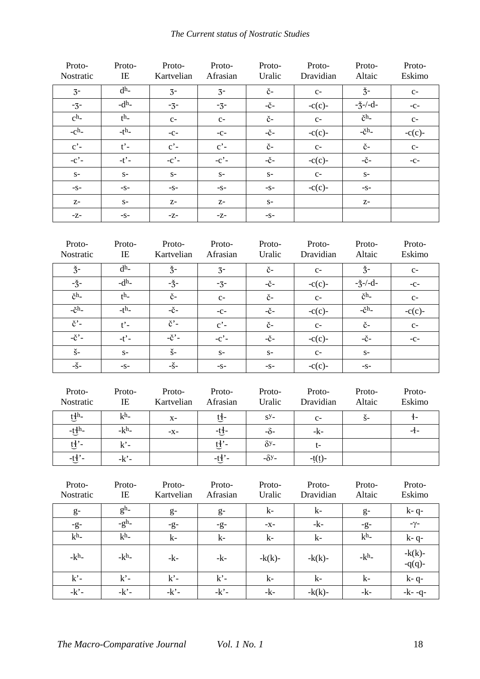# *The Current status of Nostratic Studies*

| Proto-<br><b>Nostratic</b> | Proto-<br>IE   | Proto-<br>Kartvelian | Proto-<br>Afrasian | Proto-<br>Uralic       | Proto-<br>Dravidian | Proto-<br>Altaic           | Proto-<br>Eskimo |
|----------------------------|----------------|----------------------|--------------------|------------------------|---------------------|----------------------------|------------------|
| $3-$                       | d <sup>h</sup> | $3-$                 | $3-$               | č-                     | $C-$                | $\check{3}$ -              | $C-$             |
| $-3-$                      | $-dh$          | $-3-$                | $-3-$              | $-\check{C}$ -         | $-c(c)$ -           | $-\frac{3}{5}-/-d-$        | $-C-$            |
| c <sup>h</sup>             | t <sup>h</sup> | $C-$                 | $C-$               | $\check{\mathrm{c}}$ - | $C-$                | $\check{c}$ h <sub>-</sub> | $C-$             |
| $-ch$                      | $-th$          | $-C-$                | $-C-$              | $-\check{C}$ -         | $-c(c)$ -           | $-\check{c}$ h-            | $-c(c)$ -        |
| $c'$ -                     | $t'$ -         | $c^*$ -              | $c'$ -             | $\check{\mathrm{c}}$ - | $C-$                | č-                         | $C-$             |
| $-c$ -                     | $-t$ -         | $-c$ -               | $-c$ -             | $-\check{C}$ -         | $-c(c)$ -           | $-\check{C}$ -             | $-C-$            |
| $S-$                       | $S-$           | $S-$                 | $S-$               | $S-$                   | $C-$                | $S-$                       |                  |
| $-S-$                      | $-S-$          | $-S-$                | $-S-$              | $-S-$                  | $-c(c)$ -           | $-S-$                      |                  |
| $Z-$                       | $S-$           | $Z-$                 | $Z-$               | $S-$                   |                     | $Z-$                       |                  |
| $-Z-$                      | $-S-$          | $-Z-$                | $-Z-$              | $-S-$                  |                     |                            |                  |

| Proto-<br><b>Nostratic</b> | Proto-<br>IE   | Proto-<br>Kartvelian | Proto-<br>Afrasian | Proto-<br>Uralic       | Proto-<br>Dravidian | Proto-<br>Altaic            | Proto-<br>Eskimo |
|----------------------------|----------------|----------------------|--------------------|------------------------|---------------------|-----------------------------|------------------|
| $\check{3}$ -              | d <sup>h</sup> | $\check{3}$ -        | $3-$               | č-                     | $C-$                | $\check{3}$ -               | $C-$             |
| $-\check{3}$ -             | $-dh$          | $-\check{3}$ -       | $-3-$              | -č-                    | $-c(c)$ -           | $-\frac{3}{5}-1$ -d-        | $-C-$            |
| $\check{c}$ h <sub>-</sub> | t <sup>h</sup> | č-                   | $C-$               | $\check{\mathrm{c}}$ - | $C-$                | $\check{c}$ h <sub>-</sub>  | $C-$             |
| $-\check{c}$ h             | $-th$          | $-\check{C}$ -       | $-C-$              | -č-                    | $-c(c)$ -           | $-\check{c}$ h <sub>-</sub> | $-c(c)$ -        |
| $\check{\rm c}'$ -         | $t'$ -         | $\check{\rm c}'$ -   | $c^{\prime}$ -     | $\check{\mathrm{c}}$ - | $C-$                | č-                          | $C-$             |
| $-\check{c}$ -             | $-t$ -         | $-\check{c}$ ' –     | $-c$ -             | -č-                    | $-c(c)$ -           | $-\check{C}$ -              | $-C-$            |
| $\check{S}$ -              | $S-$           | $\check{S}$ -        | $S-$               | $S-$                   | $C-$                | $S-$                        |                  |
| $-\check{S}-$              | $-S-$          | $-\check{S}-$        | $-S-$              | $-S-$                  | $-c(c)$ -           | $-S-$                       |                  |

| Proto-<br>Nostratic | Proto-<br>IE | Proto-<br>Kartvelian | Proto-<br>Afrasian                       | Proto-<br>Uralic        | Proto-<br>Dravidian | Proto-<br>Altaic | Proto-<br>Eskimo |
|---------------------|--------------|----------------------|------------------------------------------|-------------------------|---------------------|------------------|------------------|
| t <sup>4h</sup> -   | $kh$ -       | $X -$                | t <sup>i</sup> -                         | $S_{\rm}$ y-            | $C-$                | $\check{S}$ -    | . የ              |
| $-t^{h-}$           | $-kh$        | $-X -$               | $-t$ <sup><math>\frac{1}{2}</math></sup> | $-\delta$ -             | -k-                 |                  | $-1$             |
| $t_1$ .             | $k'$ -       |                      | $t_1$ .                                  | $\delta$ <sup>y</sup> - | t-                  |                  |                  |
| $-t$ <sup>2</sup> . | $-k$ -       |                      | $-t$ <sup>2</sup> -                      | $-\delta y$ -           | $-t(t)$ -           |                  |                  |

| Proto-<br>Nostratic | Proto-<br>IE   | Proto-<br>Kartvelian | Proto-<br>Afrasian | Proto-<br>Uralic | Proto-<br>Dravidian | Proto-<br>Altaic | Proto-<br>Eskimo       |
|---------------------|----------------|----------------------|--------------------|------------------|---------------------|------------------|------------------------|
| $g-$                | g <sup>h</sup> | $g-$                 | $g-$               | $k-$             | k-                  | $g-$             | $k - q -$              |
| $-g-$               | $-gh$          | $-g-$                | $-g-$              | $-X-$            | -k-                 | $-9-$            | $-\gamma$ -            |
| k <sup>h</sup>      | k <sup>h</sup> | k-                   | $k-$               | $k-$             | k-                  | k <sup>h</sup>   | $k - q -$              |
| $-kh$               | $-kh$          | -k-                  | -k-                | $-k(k)$ -        | $-k(k)$ -           | $-kh$            | $-k(k)$ -<br>$-q(q)$ - |
| $k'$ -              | $k'$ -         | $k'$ -               | $k'$ -             | $k-$             | $k-$                | $k-$             | $k - q -$              |
| $-k$ -              | $-k$ -         | $-k$ -               | $-k$ '-            | -k-              | $-k(k)$ -           | -k-              | $-k - q -$             |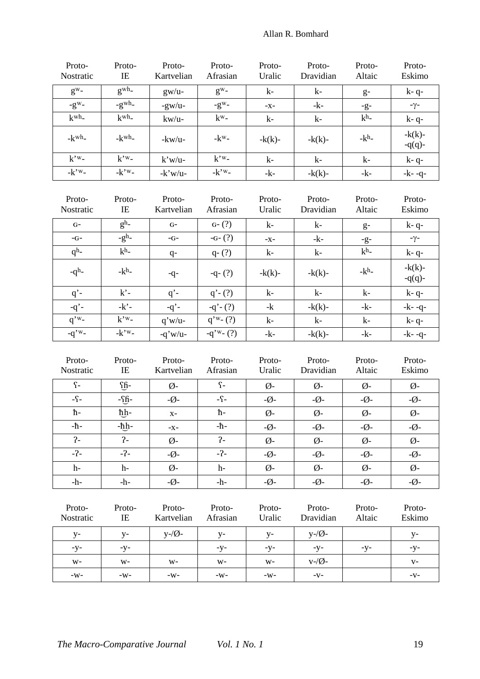| Proto-<br>Nostratic  | Proto-<br>IE         | Proto-<br>Kartvelian | Proto-<br>Afrasian     | Proto-<br>Uralic | Proto-<br>Dravidian | Proto-<br>Altaic    | Proto-<br>Eskimo            |
|----------------------|----------------------|----------------------|------------------------|------------------|---------------------|---------------------|-----------------------------|
|                      |                      |                      |                        |                  |                     |                     |                             |
| $g^w$ -              | gwh                  | $g$ w/u-             | $g^w$ -                | $k-$             | $k-$                | $g-$                | $k - q$                     |
| $-g^w$ -             | $-gwh$               | $-gw/u$ -            | $-gw$ -                | $-X -$           | $-k-$               | $-g-$               | $-\gamma$ -                 |
| $k$ wh_              | $k^{\text{wh}}$      | kw/u-                | $k^{w}$ -              | $k-$             | $k-$                | $kh$ -              | $k - q -$                   |
| $-kwh$               | $-kwh$               | $-kw/u$ -            | $-k^w-$                | $-k(k)$ -        | $-k(k)$ -           | $-kh$               | $-k(k)$ -<br>$-q(q)$ -      |
| $k^{\prime w}$       | $k^{\prime w}$ -     | $k'$ w/u-            | $k^{\prime w}$ -       | $k-$             | $k-$                | $k-$                | $k - q -$                   |
| $-k'$ <sup>w</sup> - | $-k'$ <sup>w</sup> - | $-k'w/u$ -           | $-k'$ <sup>w</sup> -   | $-k-$            | $-k(k)$ -           | $-k-$               | $-k-9-$                     |
|                      |                      |                      |                        |                  |                     |                     |                             |
| Proto-<br>Nostratic  | Proto-<br>IE         | Proto-<br>Kartvelian | Proto-<br>Afrasian     | Proto-<br>Uralic | Proto-<br>Dravidian | Proto-<br>Altaic    | Proto-<br>Eskimo            |
| $G-$                 | $gh$ -               | $G-$                 | $G - (?)$              | $k-$             | k-                  | $g-$                | $k - q$                     |
| $-G-$                | $-gh$                | $-G-$                | $-G-(?)$               | $-X -$           | $-k-$               | $-g-$               | $-\gamma$ -                 |
| $qh$ -               | $kh$ -               | $q-$                 | $q - (?)$              | $k-$             | $k-$                | $kh$ -              | $k - q -$                   |
| $-qh$ -              | $-kh$                | $-q-$                | $-q-(?)$               | $-k(k)$ -        | $-k(k)$ -           | $-kh$               | $-k(k)$ -<br>$-q(q)$ -      |
| $q'$ -               | $k'$ -               | $q'$ -               | $q'$ - $(?)$           | $k-$             | $k-$                | $k-$                | $k - q -$                   |
| $-q$ -               | $-k$ -               | $-q$ -               | $-q' - (?)$            | -k               | $-k(k)$ -           | $-k-$               | $-k-9-$                     |
| $q^{\prime w}$ -     | $k^{\prime w}$ -     | $q'w/u$ -            | $q^{\prime w_{-}}$ (?) | $k-$             | $k-$                | $k-$                | $k - q -$                   |
| $-q'$ <sup>w</sup> - | $-k'$ <sup>w</sup> - | $-q'w/u-$            | $-q^{\nu}$ (?)         | -k-              | $-k(k)$ -           | $-k-$               | $-k-9-$                     |
|                      |                      |                      |                        |                  |                     |                     |                             |
| Proto-               | Proto-               | Proto-               | Proto-                 | Proto-           | Proto-              | Proto-              | Proto-                      |
| Nostratic            | IE                   | Kartvelian           | Afrasian               | Uralic           | Dravidian           | Altaic              | Eskimo                      |
| $\Omega$ -           | $f_{\text{th}}$ -    | $\emptyset$ -        | $\Omega$ -             | $\emptyset$ -    | $\emptyset$ -       | $\emptyset$ -       | $\emptyset$ -               |
| $-\Omega$ -          | $-69$                | $-Q$ -               | $-\Omega$ -            | $-Q$ -           | $-Q$ -              | $-\boldsymbol{Q}$ - | $-\boldsymbol{\emptyset}$ - |

| $\Omega$    | Sh-   | Ø-                          | $\Omega$ -  | Ø-                          | Ø-                          | Ø-                          | Ø-                          |
|-------------|-------|-----------------------------|-------------|-----------------------------|-----------------------------|-----------------------------|-----------------------------|
| $-\Omega$ - | $-65$ | $-\boldsymbol{\emptyset}$   | $-\Omega$ - | $-\boldsymbol{Q}$ -         | $-\boldsymbol{\emptyset}$ - | $-\boldsymbol{\emptyset}$ - | $-\boldsymbol{\emptyset}$ - |
| ħ-          | ħþ-   | $X -$                       | ħ-          | Ø-                          | Ø-                          | Ø-                          | Ø-                          |
| -ħ-         | -ħհ-  | $-X -$                      | -ħ-         | $-Q$ -                      | $-\boldsymbol{\emptyset}$ - | $-\boldsymbol{\emptyset}$ - | $-Q$ -                      |
| $2 -$       | $2-$  | Ø-                          | $2-$        | Ø-                          | Ø-                          | Ø-                          | Ø-                          |
| $-2-$       | $-2-$ | $-\boldsymbol{\emptyset}$ - | $-2-$       | $-\boldsymbol{\emptyset}$ - | $-\emptyset$ -              | $-\boldsymbol{\emptyset}$ - | $-Q$ -                      |
| $h-$        | $h-$  | Ø-                          | $h-$        | Ø-                          | Ø-                          | Ø-                          | Ø-                          |
| $-h-$       | -h-   | $-\emptyset$ -              | $-h-$       | $-\boldsymbol{\emptyset}$ - | $-\boldsymbol{\emptyset}$ - | $-\boldsymbol{Q}$ -         | $-Q$ -                      |

| Proto-<br>Nostratic | Proto-<br>IE | Proto-<br>Kartvelian | Proto-<br>Afrasian | Proto-<br>Uralic | Proto-<br>Dravidian  | Proto-<br>Altaic | Proto-<br>Eskimo |
|---------------------|--------------|----------------------|--------------------|------------------|----------------------|------------------|------------------|
| $V -$               | $V -$        | $y-\sqrt{Q}$ -       | $V -$              | $V -$            | $y-\sqrt{Q}$ -       |                  | $V -$            |
| $-y-$               | $-V-$        |                      | $-V$ -             | $-V$ -           | -y-                  | $-V$ -           | $-Y-$            |
| $W-$                | $W-$         | $W-$                 | $W -$              | $W-$             | $v$ -/ $\emptyset$ - |                  | $V -$            |
| $-W-$               | -W-          | $-W-$                | $-W-$              | $-W-$            | $-V-$                |                  | $-V-$            |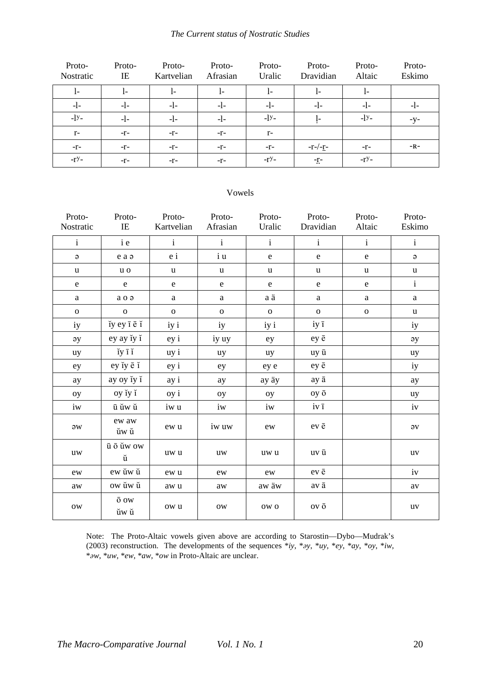## *The Current status of Nostratic Studies*

| Proto-<br>Nostratic | Proto-<br>IE | Proto-<br>Kartvelian | Proto-<br>Afrasian | Proto-<br>Uralic | Proto-<br>Dravidian | Proto-<br>Altaic | Proto-<br>Eskimo |
|---------------------|--------------|----------------------|--------------------|------------------|---------------------|------------------|------------------|
| - 1                 | l-           | l-                   | $\mathbf{I}$       | l-               |                     | $\mathbf{I}$     |                  |
| -1-                 | $-l$ -       | $-1-$                | -1-                | $-1-$            | $-1-$               | -1-              | -1-              |
| $-1y-$              | $-l$ -       | -1-                  | -1-                | $-1y-$           |                     | $-1y-$           | $-V$ -           |
| $r-$                | $-r-$        | -r-                  | $-r-$              | $r-$             |                     |                  |                  |
| $-r-$               | $-r-$        | -r-                  | $-r-$              | $-r-$            | $-r$ - $r$ - $r$ -  | -r-              | $-R-$            |
| $-ry-$              | $-r-$        | -r-                  | -r-                | $-rY-$           | $-r$                | $-rY-$           |                  |

# Vowels

| Proto-<br>Nostratic | Proto-<br>IE                                            | Proto-<br>Kartvelian | Proto-<br>Afrasian | Proto-<br>Uralic | Proto-<br>Dravidian                               | Proto-<br>Altaic | Proto-<br>Eskimo |
|---------------------|---------------------------------------------------------|----------------------|--------------------|------------------|---------------------------------------------------|------------------|------------------|
| $\mathbf{i}$        | i e                                                     | $\mathbf{i}$         | $\mathbf{i}$       | $\mathbf{i}$     | $\mathbf{i}$                                      | $\mathbf{i}$     | $\mathbf{i}$     |
| $\Theta$            | e a a                                                   | e <sub>i</sub>       | i u                | ${\bf e}$        | e                                                 | $\mathbf e$      | $\Theta$         |
| $\mathbf u$         | $\,u$ o                                                 | u                    | $\mathbf u$        | u                | $\mathbf u$                                       | u                | $\mathbf u$      |
| e                   | $\mathbf e$                                             | ${\bf e}$            | ${\bf e}$          | ${\bf e}$        | e                                                 | ${\bf e}$        | $\mathbf{i}$     |
| a                   | $a \circ a$                                             | a                    | a                  | a ä              | a                                                 | a                | a                |
| $\mathbf 0$         | ${\bf O}$                                               | ${\bf O}$            | $\mathbf 0$        | $\mathbf 0$      | ${\bf O}$                                         | $\mathbf{O}$     | u                |
| iy                  | ĭy ey ī ē ĭ                                             | iy i                 | iy                 | iy i             | iy ī                                              |                  | iy               |
| $\partial y$        | ey ay iy i                                              | ey i                 | iy uy              | ey               | ey ē                                              |                  | $\partial y$     |
| uy                  | $\check{1}y\overline{1}\check{1}$                       | uy <sub>i</sub>      | uy                 | uy               | uy ū                                              |                  | uy               |
| ey                  | ey ĭy ē ĭ                                               | ey i                 | ey                 | ey e             | ey ē                                              |                  | iy               |
| ay                  | ay oy iy i                                              | ay i                 | ay                 | ay äy            | ay ā                                              |                  | ay               |
| oy                  | oy iy i                                                 | oy i                 | oy                 | oy               | oy ō                                              |                  | uy               |
| iw                  | $\bar{\mathrm{u}}$ ŭw $\breve{\mathrm{u}}$              | iw u                 | iw                 | iw               | $iv\overline{i}$                                  |                  | iv               |
| $\partial W$        | ew aw<br>ŭw ŭ                                           | ew u                 | iw uw              | ew               | ev ē                                              |                  | $\partial V$     |
| uw                  | ū ō ŭw ow<br>ŭ                                          | uw u                 | uw                 | uw u             | uv ū                                              |                  | uv               |
| ew                  | ew ŭw ŭ                                                 | ew u                 | ew                 | ew               | $\operatorname{\sf ev}\bar{\operatorname{\sf e}}$ |                  | iv               |
| aw                  | $\,$ ow $\,\!\breve{\text{u}}$ w $\,\!\breve{\text{u}}$ | aw u                 | aw                 | aw äw            | av ā                                              |                  | av               |
| $\rm{OW}$           | $\bar{\text{o}}$ ow<br>ŭw ŭ                             | ow u                 | <b>OW</b>          | ow o             | ov ō                                              |                  | <b>uv</b>        |

Note: The Proto-Altaic vowels given above are according to Starostin—Dybo—Mudrak's (2003) reconstruction. The developments of the sequences \**iy*, \**ǝy*, \**uy*, \**ey*, \**ay*, \**oy*, \**iw*, \**ǝw*, \**uw*, \**ew*, \**aw*, \**ow* in Proto-Altaic are unclear.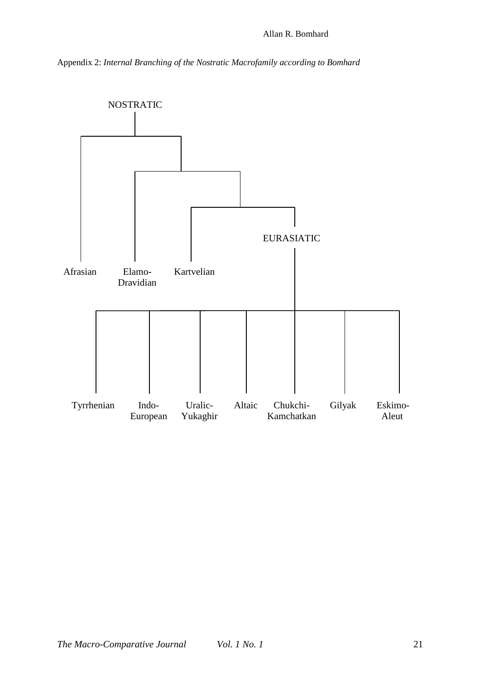Appendix 2: *Internal Branching of the Nostratic Macrofamily according to Bomhard*

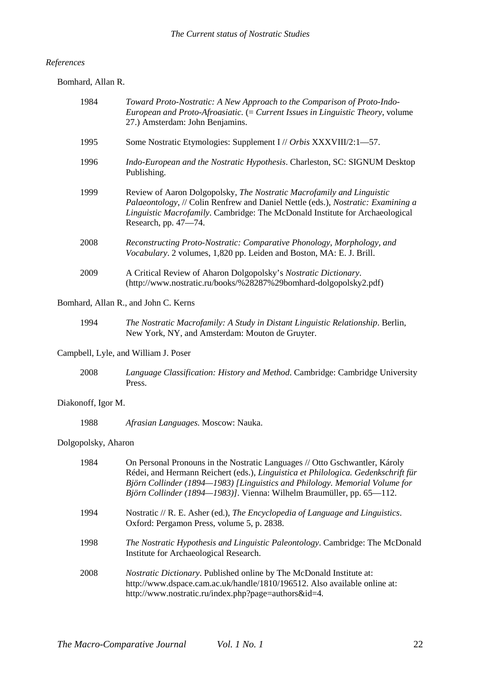## *References*

Bomhard, Allan R.

| 1984 | Toward Proto-Nostratic: A New Approach to the Comparison of Proto-Indo-<br><i>European and Proto-Afroasiatic.</i> $(= Current Issues in Linguistic Theory, volume)$<br>27.) Amsterdam: John Benjamins.                                                            |
|------|-------------------------------------------------------------------------------------------------------------------------------------------------------------------------------------------------------------------------------------------------------------------|
| 1995 | Some Nostratic Etymologies: Supplement I // Orbis XXXVIII/2:1-57.                                                                                                                                                                                                 |
| 1996 | Indo-European and the Nostratic Hypothesis. Charleston, SC: SIGNUM Desktop<br>Publishing.                                                                                                                                                                         |
| 1999 | Review of Aaron Dolgopolsky, The Nostratic Macrofamily and Linguistic<br>Palaeontology, // Colin Renfrew and Daniel Nettle (eds.), Nostratic: Examining a<br>Linguistic Macrofamily. Cambridge: The McDonald Institute for Archaeological<br>Research, pp. 47-74. |
| 2008 | Reconstructing Proto-Nostratic: Comparative Phonology, Morphology, and<br>Vocabulary. 2 volumes, 1,820 pp. Leiden and Boston, MA: E. J. Brill.                                                                                                                    |
| 2009 | A Critical Review of Aharon Dolgopolsky's Nostratic Dictionary.<br>(http://www.nostratic.ru/books/%28287%29bomhard-dolgopolsky2.pdf)                                                                                                                              |
|      | Bomhard, Allan R., and John C. Kerns                                                                                                                                                                                                                              |

# 1994 *The Nostratic Macrofamily: A Study in Distant Linguistic Relationship*. Berlin, New York, NY, and Amsterdam: Mouton de Gruyter.

# Campbell, Lyle, and William J. Poser

| 2008 | Language Classification: History and Method. Cambridge: Cambridge University |
|------|------------------------------------------------------------------------------|
|      | Press.                                                                       |

# Diakonoff, Igor M.

1988 *Afrasian Languages.* Moscow: Nauka.

# Dolgopolsky, Aharon

| 1984 | On Personal Pronouns in the Nostratic Languages // Otto Gschwantler, Károly<br>Rédei, and Hermann Reichert (eds.), Linguistica et Philologica. Gedenkschrift für<br>Björn Collinder (1894—1983) [Linguistics and Philology. Memorial Volume for<br>Björn Collinder (1894—1983)]. Vienna: Wilhelm Braumüller, pp. 65—112. |
|------|--------------------------------------------------------------------------------------------------------------------------------------------------------------------------------------------------------------------------------------------------------------------------------------------------------------------------|
| 1994 | Nostratic $// R. E.$ Asher (ed.), The Encyclopedia of Language and Linguistics.<br>Oxford: Pergamon Press, volume 5, p. 2838.                                                                                                                                                                                            |
| 1998 | <i>The Nostratic Hypothesis and Linguistic Paleontology. Cambridge: The McDonald</i><br>Institute for Archaeological Research.                                                                                                                                                                                           |
| 2008 | <i>Nostratic Dictionary.</i> Published online by The McDonald Institute at:<br>http://www.dspace.cam.ac.uk/handle/1810/196512. Also available online at:<br>http://www.nostratic.ru/index.php?page=authors&id=4.                                                                                                         |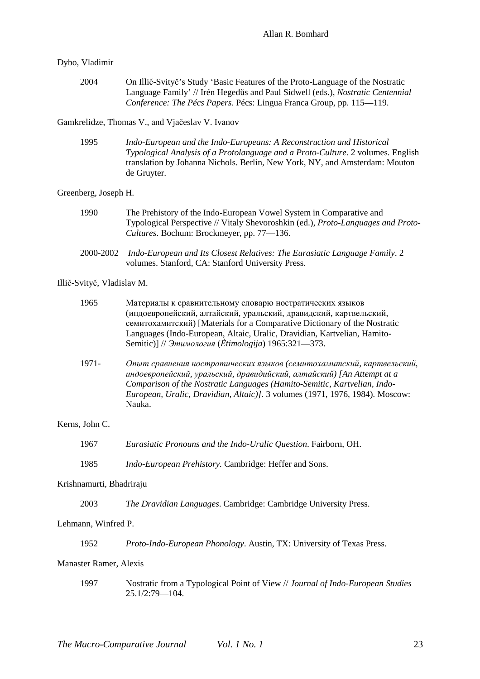## Dybo, Vladimir

2004 On Illič-Svityč's Study 'Basic Features of the Proto-Language of the Nostratic Language Family' // Irén Hegedűs and Paul Sidwell (eds.), *Nostratic Centennial Conference: The Pécs Papers*. Pécs: Lingua Franca Group, pp. 115—119.

Gamkrelidze, Thomas V., and Vjačeslav V. Ivanov

1995 *Indo-European and the Indo-Europeans: A Reconstruction and Historical Typological Analysis of a Protolanguage and a Proto-Culture.* 2 volumes. English translation by Johanna Nichols. Berlin, New York, NY, and Amsterdam: Mouton de Gruyter.

## Greenberg, Joseph H.

| 1990 | The Prehistory of the Indo-European Vowel System in Comparative and                     |
|------|-----------------------------------------------------------------------------------------|
|      | Typological Perspective // Vitaly Shevoroshkin (ed.), <i>Proto-Languages and Proto-</i> |
|      | <i>Cultures.</i> Bochum: Brockmeyer, pp. 77—136.                                        |

2000-2002 *Indo-European and Its Closest Relatives: The Eurasiatic Language Family*. 2 volumes. Stanford, CA: Stanford University Press.

Illič-Svityč, Vladislav M.

|                | 1965  | Материалы к сравнительному словарю ностратических языков<br>(индоевропейский, алтайский, уральский, дравидский, картвельский,<br>семитохамитский) [Materials for a Comparative Dictionary of the Nostratic<br>Languages (Indo-European, Altaic, Uralic, Dravidian, Kartvelian, Hamito-<br>Semitic)] // Этимология (Étimologija) 1965:321—373. |
|----------------|-------|-----------------------------------------------------------------------------------------------------------------------------------------------------------------------------------------------------------------------------------------------------------------------------------------------------------------------------------------------|
|                | 1971- | Опыт сравнения ностратических языков (семитохамитский, картвельский,<br>индоевропейский, уральский, дравидийский, алтайский) [An Attempt at a<br>Comparison of the Nostratic Languages (Hamito-Semitic, Kartvelian, Indo-<br>European, Uralic, Dravidian, Altaic)]. 3 volumes (1971, 1976, 1984). Moscow:<br>Nauka.                           |
| Kerns, John C. |       |                                                                                                                                                                                                                                                                                                                                               |
|                | 1967  | Eurasiatic Pronouns and the Indo-Uralic Question. Fairborn, OH.                                                                                                                                                                                                                                                                               |
|                | 1985  | Indo-European Prehistory. Cambridge: Heffer and Sons.                                                                                                                                                                                                                                                                                         |
|                |       |                                                                                                                                                                                                                                                                                                                                               |

## Krishnamurti, Bhadriraju

2003 *The Dravidian Languages*. Cambridge: Cambridge University Press.

#### Lehmann, Winfred P.

1952 *Proto-Indo-European Phonology*. Austin, TX: University of Texas Press.

#### Manaster Ramer, Alexis

1997 Nostratic from a Typological Point of View // *Journal of Indo-European Studies*  25.1/2:79—104.